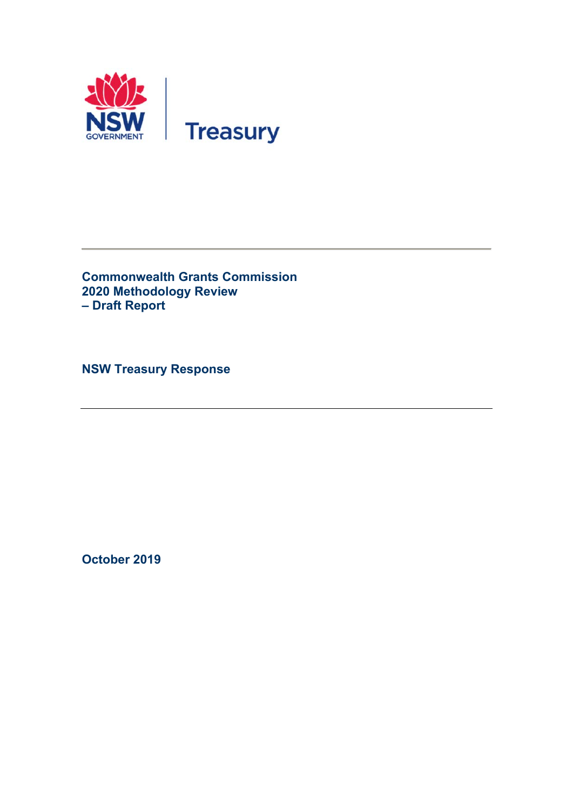

**Commonwealth Grants Commission 2020 Methodology Review – Draft Report** 

**NSW Treasury Response** 

**October 2019**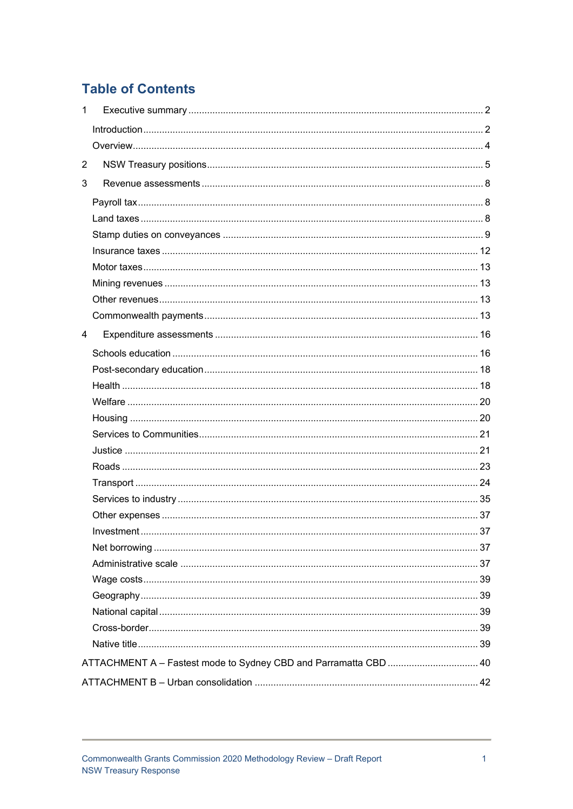# **Table of Contents**

| $\mathbf{1}$ |                                                                  |  |
|--------------|------------------------------------------------------------------|--|
|              |                                                                  |  |
|              |                                                                  |  |
| 2            |                                                                  |  |
| 3            |                                                                  |  |
|              |                                                                  |  |
|              |                                                                  |  |
|              |                                                                  |  |
|              |                                                                  |  |
|              |                                                                  |  |
|              |                                                                  |  |
|              |                                                                  |  |
|              |                                                                  |  |
| 4            |                                                                  |  |
|              |                                                                  |  |
|              |                                                                  |  |
|              |                                                                  |  |
|              |                                                                  |  |
|              |                                                                  |  |
|              |                                                                  |  |
|              |                                                                  |  |
|              |                                                                  |  |
|              |                                                                  |  |
|              |                                                                  |  |
|              |                                                                  |  |
|              |                                                                  |  |
|              |                                                                  |  |
|              |                                                                  |  |
|              |                                                                  |  |
|              |                                                                  |  |
|              |                                                                  |  |
|              |                                                                  |  |
|              |                                                                  |  |
|              | ATTACHMENT A - Fastest mode to Sydney CBD and Parramatta CBD  40 |  |
|              |                                                                  |  |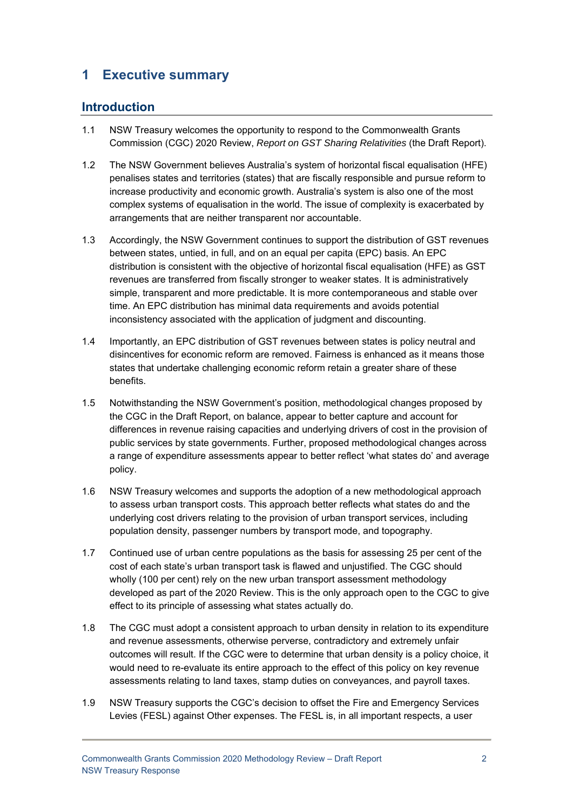# **1 Executive summary**

# **Introduction**

- 1.1 NSW Treasury welcomes the opportunity to respond to the Commonwealth Grants Commission (CGC) 2020 Review, *Report on GST Sharing Relativities* (the Draft Report).
- 1.2 The NSW Government believes Australia's system of horizontal fiscal equalisation (HFE) penalises states and territories (states) that are fiscally responsible and pursue reform to increase productivity and economic growth. Australia's system is also one of the most complex systems of equalisation in the world. The issue of complexity is exacerbated by arrangements that are neither transparent nor accountable.
- 1.3 Accordingly, the NSW Government continues to support the distribution of GST revenues between states, untied, in full, and on an equal per capita (EPC) basis. An EPC distribution is consistent with the objective of horizontal fiscal equalisation (HFE) as GST revenues are transferred from fiscally stronger to weaker states. It is administratively simple, transparent and more predictable. It is more contemporaneous and stable over time. An EPC distribution has minimal data requirements and avoids potential inconsistency associated with the application of judgment and discounting.
- 1.4 Importantly, an EPC distribution of GST revenues between states is policy neutral and disincentives for economic reform are removed. Fairness is enhanced as it means those states that undertake challenging economic reform retain a greater share of these benefits.
- 1.5 Notwithstanding the NSW Government's position, methodological changes proposed by the CGC in the Draft Report, on balance, appear to better capture and account for differences in revenue raising capacities and underlying drivers of cost in the provision of public services by state governments. Further, proposed methodological changes across a range of expenditure assessments appear to better reflect 'what states do' and average policy.
- 1.6 NSW Treasury welcomes and supports the adoption of a new methodological approach to assess urban transport costs. This approach better reflects what states do and the underlying cost drivers relating to the provision of urban transport services, including population density, passenger numbers by transport mode, and topography.
- 1.7 Continued use of urban centre populations as the basis for assessing 25 per cent of the cost of each state's urban transport task is flawed and unjustified. The CGC should wholly (100 per cent) rely on the new urban transport assessment methodology developed as part of the 2020 Review. This is the only approach open to the CGC to give effect to its principle of assessing what states actually do.
- 1.8 The CGC must adopt a consistent approach to urban density in relation to its expenditure and revenue assessments, otherwise perverse, contradictory and extremely unfair outcomes will result. If the CGC were to determine that urban density is a policy choice, it would need to re-evaluate its entire approach to the effect of this policy on key revenue assessments relating to land taxes, stamp duties on conveyances, and payroll taxes.
- 1.9 NSW Treasury supports the CGC's decision to offset the Fire and Emergency Services Levies (FESL) against Other expenses. The FESL is, in all important respects, a user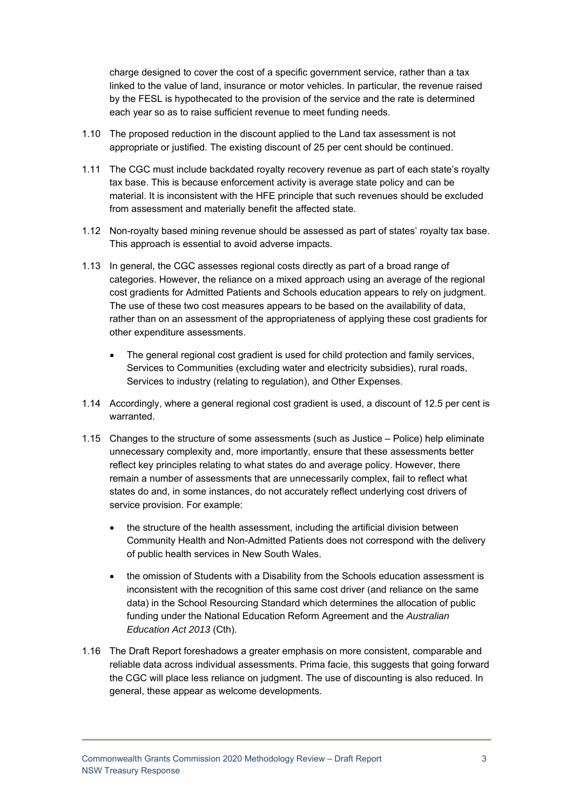charge designed to cover the cost of a specific government service, rather than a tax linked to the value of land, insurance or motor vehicles. In particular, the revenue raised by the FESL is hypothecated to the provision of the service and the rate is determined each year so as to raise sufficient revenue to meet funding needs.

- 1.10 The proposed reduction in the discount applied to the Land tax assessment is not appropriate or justified. The existing discount of 25 per cent should be continued.
- 1.11 The CGC must include backdated royalty recovery revenue as part of each state's royalty tax base. This is because enforcement activity is average state policy and can be material. It is inconsistent with the HFE principle that such revenues should be excluded from assessment and materially benefit the affected state.
- 1.12 Non-royalty based mining revenue should be assessed as part of states' royalty tax base. This approach is essential to avoid adverse impacts.
- 1.13 In general, the CGC assesses regional costs directly as part of a broad range of categories. However, the reliance on a mixed approach using an average of the regional cost gradients for Admitted Patients and Schools education appears to rely on judgment. The use of these two cost measures appears to be based on the availability of data, rather than on an assessment of the appropriateness of applying these cost gradients for other expenditure assessments.
	- The general regional cost gradient is used for child protection and family services, Services to Communities (excluding water and electricity subsidies), rural roads, Services to industry (relating to regulation), and Other Expenses.
- 1.14 Accordingly, where a general regional cost gradient is used, a discount of 12.5 per cent is warranted.
- 1.15 Changes to the structure of some assessments (such as Justice Police) help eliminate unnecessary complexity and, more importantly, ensure that these assessments better reflect key principles relating to what states do and average policy. However, there remain a number of assessments that are unnecessarily complex, fail to reflect what states do and, in some instances, do not accurately reflect underlying cost drivers of service provision. For example:
	- the structure of the health assessment, including the artificial division between Community Health and Non-Admitted Patients does not correspond with the delivery of public health services in New South Wales.
	- the omission of Students with a Disability from the Schools education assessment is inconsistent with the recognition of this same cost driver (and reliance on the same data) in the School Resourcing Standard which determines the allocation of public funding under the National Education Reform Agreement and the *Australian Education Act 2013* (Cth).
- 1.16 The Draft Report foreshadows a greater emphasis on more consistent, comparable and reliable data across individual assessments. Prima facie, this suggests that going forward the CGC will place less reliance on judgment. The use of discounting is also reduced. In general, these appear as welcome developments.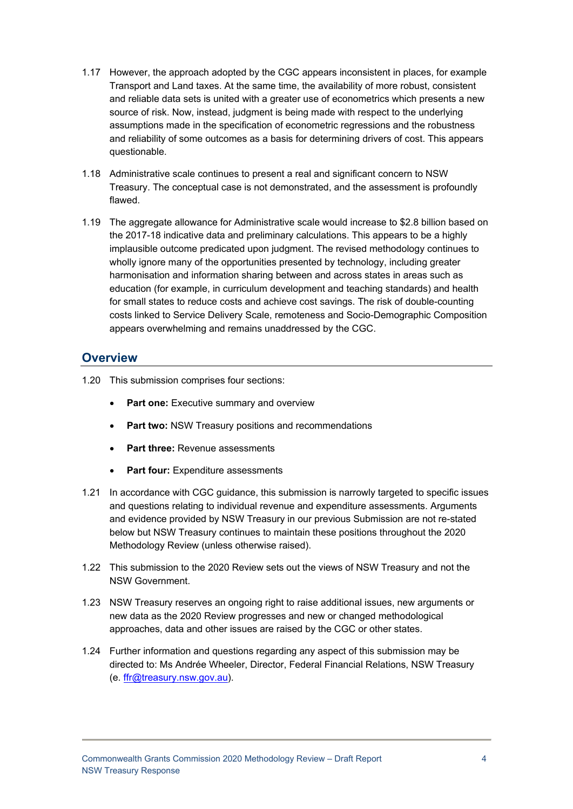- 1.17 However, the approach adopted by the CGC appears inconsistent in places, for example Transport and Land taxes. At the same time, the availability of more robust, consistent and reliable data sets is united with a greater use of econometrics which presents a new source of risk. Now, instead, judgment is being made with respect to the underlying assumptions made in the specification of econometric regressions and the robustness and reliability of some outcomes as a basis for determining drivers of cost. This appears questionable.
- 1.18 Administrative scale continues to present a real and significant concern to NSW Treasury. The conceptual case is not demonstrated, and the assessment is profoundly flawed.
- 1.19 The aggregate allowance for Administrative scale would increase to \$2.8 billion based on the 2017-18 indicative data and preliminary calculations. This appears to be a highly implausible outcome predicated upon judgment. The revised methodology continues to wholly ignore many of the opportunities presented by technology, including greater harmonisation and information sharing between and across states in areas such as education (for example, in curriculum development and teaching standards) and health for small states to reduce costs and achieve cost savings. The risk of double-counting costs linked to Service Delivery Scale, remoteness and Socio-Demographic Composition appears overwhelming and remains unaddressed by the CGC.

### **Overview**

- 1.20 This submission comprises four sections:
	- **Part one:** Executive summary and overview
	- **Part two:** NSW Treasury positions and recommendations
	- **Part three:** Revenue assessments
	- **Part four:** Expenditure assessments
- 1.21 In accordance with CGC guidance, this submission is narrowly targeted to specific issues and questions relating to individual revenue and expenditure assessments. Arguments and evidence provided by NSW Treasury in our previous Submission are not re-stated below but NSW Treasury continues to maintain these positions throughout the 2020 Methodology Review (unless otherwise raised).
- 1.22 This submission to the 2020 Review sets out the views of NSW Treasury and not the NSW Government.
- 1.23 NSW Treasury reserves an ongoing right to raise additional issues, new arguments or new data as the 2020 Review progresses and new or changed methodological approaches, data and other issues are raised by the CGC or other states.
- 1.24 Further information and questions regarding any aspect of this submission may be directed to: Ms Andrée Wheeler, Director, Federal Financial Relations, NSW Treasury (e. ffr@treasury.nsw.gov.au).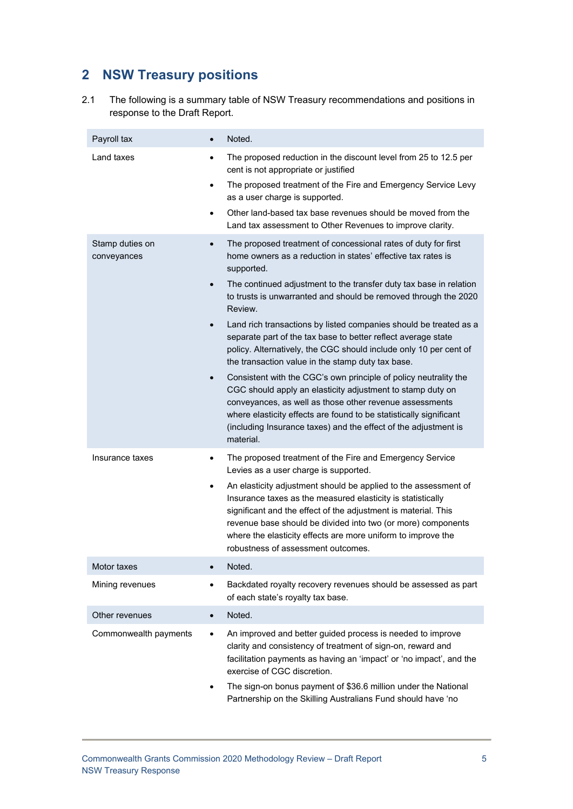# **2 NSW Treasury positions**

2.1 The following is a summary table of NSW Treasury recommendations and positions in response to the Draft Report.

| Payroll tax                    |                             | Noted.                                                                                                                                                                                                                                                                                                                                                                                                                                                                                                                                                                                                                                                                                                                                                        |
|--------------------------------|-----------------------------|---------------------------------------------------------------------------------------------------------------------------------------------------------------------------------------------------------------------------------------------------------------------------------------------------------------------------------------------------------------------------------------------------------------------------------------------------------------------------------------------------------------------------------------------------------------------------------------------------------------------------------------------------------------------------------------------------------------------------------------------------------------|
| Land taxes                     | ٠<br>$\bullet$<br>$\bullet$ | The proposed reduction in the discount level from 25 to 12.5 per<br>cent is not appropriate or justified<br>The proposed treatment of the Fire and Emergency Service Levy<br>as a user charge is supported.<br>Other land-based tax base revenues should be moved from the<br>Land tax assessment to Other Revenues to improve clarity.                                                                                                                                                                                                                                                                                                                                                                                                                       |
| Stamp duties on<br>conveyances | $\bullet$                   | The proposed treatment of concessional rates of duty for first<br>home owners as a reduction in states' effective tax rates is<br>supported.<br>The continued adjustment to the transfer duty tax base in relation<br>to trusts is unwarranted and should be removed through the 2020<br>Review.<br>Land rich transactions by listed companies should be treated as a<br>separate part of the tax base to better reflect average state<br>policy. Alternatively, the CGC should include only 10 per cent of<br>the transaction value in the stamp duty tax base.<br>Consistent with the CGC's own principle of policy neutrality the<br>CGC should apply an elasticity adjustment to stamp duty on<br>conveyances, as well as those other revenue assessments |
|                                |                             | where elasticity effects are found to be statistically significant<br>(including Insurance taxes) and the effect of the adjustment is<br>material.                                                                                                                                                                                                                                                                                                                                                                                                                                                                                                                                                                                                            |
| Insurance taxes                |                             | The proposed treatment of the Fire and Emergency Service<br>Levies as a user charge is supported.<br>An elasticity adjustment should be applied to the assessment of<br>Insurance taxes as the measured elasticity is statistically<br>significant and the effect of the adjustment is material. This<br>revenue base should be divided into two (or more) components<br>where the elasticity effects are more uniform to improve the<br>robustness of assessment outcomes.                                                                                                                                                                                                                                                                                   |
| Motor taxes                    |                             | Noted.                                                                                                                                                                                                                                                                                                                                                                                                                                                                                                                                                                                                                                                                                                                                                        |
| Mining revenues                |                             | Backdated royalty recovery revenues should be assessed as part<br>of each state's royalty tax base.                                                                                                                                                                                                                                                                                                                                                                                                                                                                                                                                                                                                                                                           |
| Other revenues                 | $\bullet$                   | Noted.                                                                                                                                                                                                                                                                                                                                                                                                                                                                                                                                                                                                                                                                                                                                                        |
| Commonwealth payments          | $\bullet$                   | An improved and better guided process is needed to improve<br>clarity and consistency of treatment of sign-on, reward and<br>facilitation payments as having an 'impact' or 'no impact', and the<br>exercise of CGC discretion.                                                                                                                                                                                                                                                                                                                                                                                                                                                                                                                               |
|                                |                             | The sign-on bonus payment of \$36.6 million under the National<br>Partnership on the Skilling Australians Fund should have 'no                                                                                                                                                                                                                                                                                                                                                                                                                                                                                                                                                                                                                                |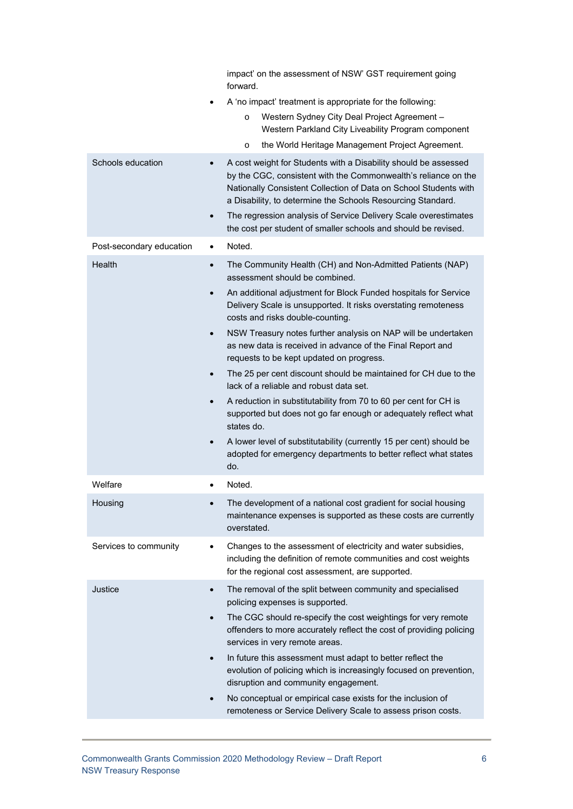|                          | impact' on the assessment of NSW' GST requirement going<br>forward.                                                                                                                                                                                                                                                                                  |
|--------------------------|------------------------------------------------------------------------------------------------------------------------------------------------------------------------------------------------------------------------------------------------------------------------------------------------------------------------------------------------------|
|                          | A 'no impact' treatment is appropriate for the following:                                                                                                                                                                                                                                                                                            |
|                          | Western Sydney City Deal Project Agreement -<br>$\circ$<br>Western Parkland City Liveability Program component                                                                                                                                                                                                                                       |
|                          | the World Heritage Management Project Agreement.<br>$\circ$                                                                                                                                                                                                                                                                                          |
| Schools education        | A cost weight for Students with a Disability should be assessed<br>by the CGC, consistent with the Commonwealth's reliance on the<br>Nationally Consistent Collection of Data on School Students with<br>a Disability, to determine the Schools Resourcing Standard.<br>The regression analysis of Service Delivery Scale overestimates<br>$\bullet$ |
|                          | the cost per student of smaller schools and should be revised.                                                                                                                                                                                                                                                                                       |
| Post-secondary education | Noted.<br>٠                                                                                                                                                                                                                                                                                                                                          |
| Health                   | The Community Health (CH) and Non-Admitted Patients (NAP)<br>$\bullet$<br>assessment should be combined.                                                                                                                                                                                                                                             |
|                          | An additional adjustment for Block Funded hospitals for Service<br>$\bullet$<br>Delivery Scale is unsupported. It risks overstating remoteness<br>costs and risks double-counting.                                                                                                                                                                   |
|                          | NSW Treasury notes further analysis on NAP will be undertaken<br>$\bullet$<br>as new data is received in advance of the Final Report and<br>requests to be kept updated on progress.                                                                                                                                                                 |
|                          | The 25 per cent discount should be maintained for CH due to the<br>$\bullet$<br>lack of a reliable and robust data set.                                                                                                                                                                                                                              |
|                          | A reduction in substitutability from 70 to 60 per cent for CH is<br>supported but does not go far enough or adequately reflect what<br>states do.                                                                                                                                                                                                    |
|                          | A lower level of substitutability (currently 15 per cent) should be<br>$\bullet$<br>adopted for emergency departments to better reflect what states<br>do.                                                                                                                                                                                           |
| Welfare                  | Noted.<br>٠                                                                                                                                                                                                                                                                                                                                          |
| Housing                  | The development of a national cost gradient for social housing<br>maintenance expenses is supported as these costs are currently<br>overstated.                                                                                                                                                                                                      |
| Services to community    | Changes to the assessment of electricity and water subsidies,<br>including the definition of remote communities and cost weights<br>for the regional cost assessment, are supported.                                                                                                                                                                 |
| Justice                  | The removal of the split between community and specialised<br>$\bullet$<br>policing expenses is supported.                                                                                                                                                                                                                                           |
|                          | The CGC should re-specify the cost weightings for very remote<br>$\bullet$<br>offenders to more accurately reflect the cost of providing policing<br>services in very remote areas.                                                                                                                                                                  |
|                          | In future this assessment must adapt to better reflect the<br>$\bullet$<br>evolution of policing which is increasingly focused on prevention,<br>disruption and community engagement.                                                                                                                                                                |
|                          | No conceptual or empirical case exists for the inclusion of<br>remoteness or Service Delivery Scale to assess prison costs.                                                                                                                                                                                                                          |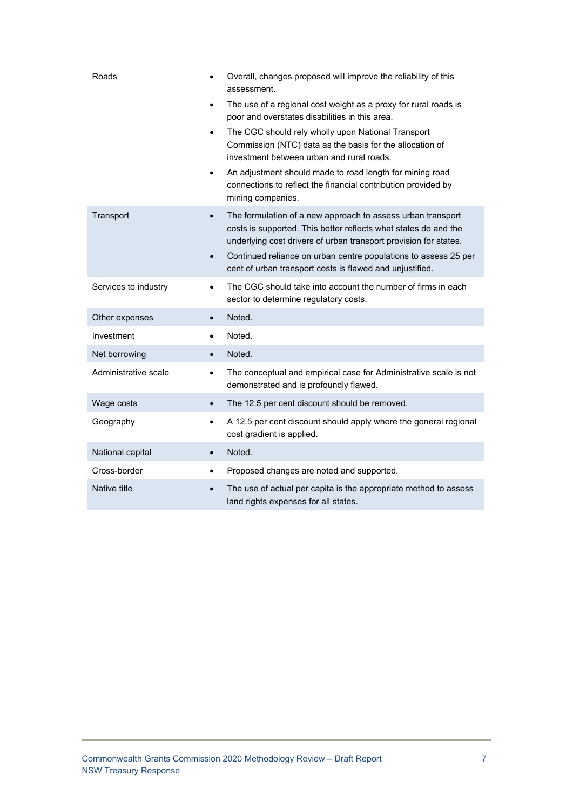| Roads                |           | Overall, changes proposed will improve the reliability of this<br>assessment.                                                                                                                      |
|----------------------|-----------|----------------------------------------------------------------------------------------------------------------------------------------------------------------------------------------------------|
|                      |           | The use of a regional cost weight as a proxy for rural roads is<br>poor and overstates disabilities in this area.                                                                                  |
|                      | $\bullet$ | The CGC should rely wholly upon National Transport<br>Commission (NTC) data as the basis for the allocation of<br>investment between urban and rural roads.                                        |
|                      |           | An adjustment should made to road length for mining road<br>connections to reflect the financial contribution provided by<br>mining companies.                                                     |
| Transport            | $\bullet$ | The formulation of a new approach to assess urban transport<br>costs is supported. This better reflects what states do and the<br>underlying cost drivers of urban transport provision for states. |
|                      | $\bullet$ | Continued reliance on urban centre populations to assess 25 per<br>cent of urban transport costs is flawed and unjustified.                                                                        |
| Services to industry | $\bullet$ | The CGC should take into account the number of firms in each<br>sector to determine regulatory costs.                                                                                              |
| Other expenses       | $\bullet$ | Noted.                                                                                                                                                                                             |
| Investment           | $\bullet$ | Noted.                                                                                                                                                                                             |
| Net borrowing        | $\bullet$ | Noted.                                                                                                                                                                                             |
| Administrative scale | $\bullet$ | The conceptual and empirical case for Administrative scale is not<br>demonstrated and is profoundly flawed.                                                                                        |
| Wage costs           | $\bullet$ | The 12.5 per cent discount should be removed.                                                                                                                                                      |
| Geography            |           | A 12.5 per cent discount should apply where the general regional<br>cost gradient is applied.                                                                                                      |
| National capital     | $\bullet$ | Noted.                                                                                                                                                                                             |
| Cross-border         |           | Proposed changes are noted and supported.                                                                                                                                                          |
| Native title         |           | The use of actual per capita is the appropriate method to assess<br>land rights expenses for all states.                                                                                           |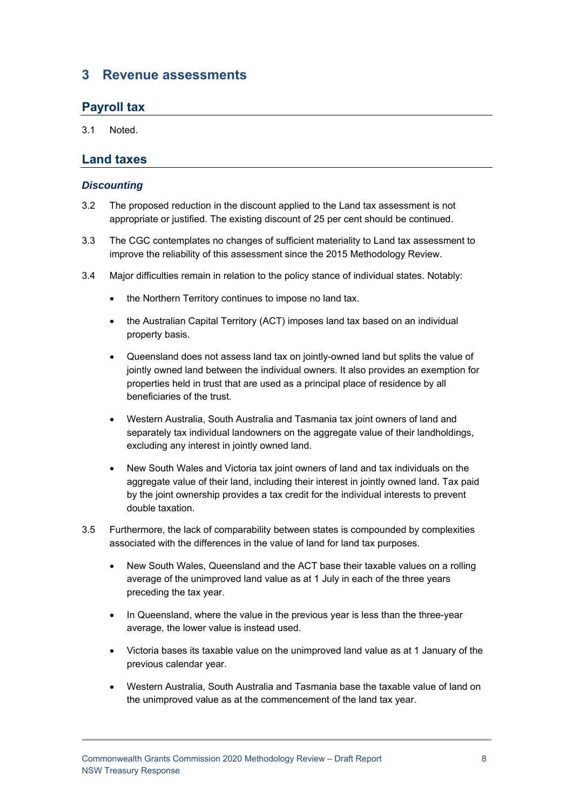# **3 Revenue assessments**

# **Payroll tax**

3.1 Noted.

### **Land taxes**

#### *Discounting*

- 3.2 The proposed reduction in the discount applied to the Land tax assessment is not appropriate or justified. The existing discount of 25 per cent should be continued.
- 3.3 The CGC contemplates no changes of sufficient materiality to Land tax assessment to improve the reliability of this assessment since the 2015 Methodology Review.
- 3.4 Major difficulties remain in relation to the policy stance of individual states. Notably:
	- the Northern Territory continues to impose no land tax.
	- the Australian Capital Territory (ACT) imposes land tax based on an individual property basis.
	- Queensland does not assess land tax on jointly-owned land but splits the value of jointly owned land between the individual owners. It also provides an exemption for properties held in trust that are used as a principal place of residence by all beneficiaries of the trust.
	- Western Australia, South Australia and Tasmania tax joint owners of land and separately tax individual landowners on the aggregate value of their landholdings, excluding any interest in jointly owned land.
	- New South Wales and Victoria tax joint owners of land and tax individuals on the aggregate value of their land, including their interest in jointly owned land. Tax paid by the joint ownership provides a tax credit for the individual interests to prevent double taxation.
- 3.5 Furthermore, the lack of comparability between states is compounded by complexities associated with the differences in the value of land for land tax purposes.
	- New South Wales, Queensland and the ACT base their taxable values on a rolling average of the unimproved land value as at 1 July in each of the three years preceding the tax year.
	- In Queensland, where the value in the previous year is less than the three-year average, the lower value is instead used.
	- Victoria bases its taxable value on the unimproved land value as at 1 January of the previous calendar year.
	- Western Australia, South Australia and Tasmania base the taxable value of land on the unimproved value as at the commencement of the land tax year.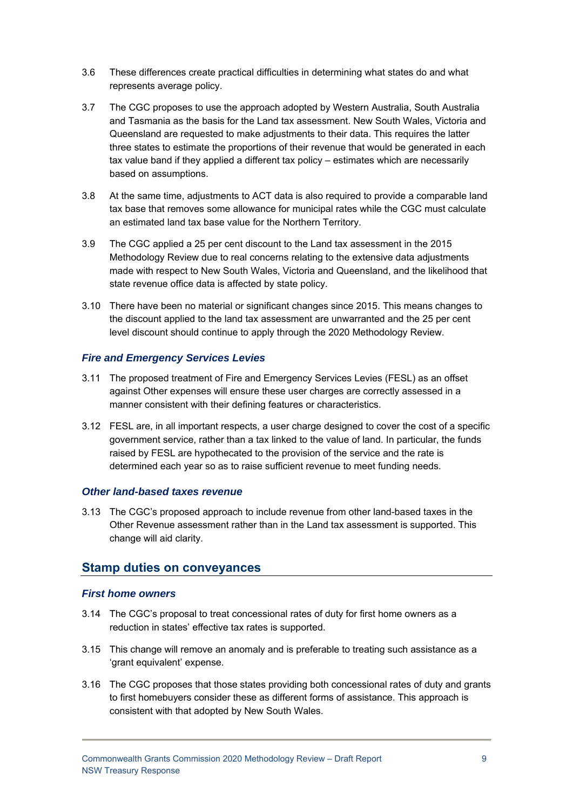- 3.6 These differences create practical difficulties in determining what states do and what represents average policy.
- 3.7 The CGC proposes to use the approach adopted by Western Australia, South Australia and Tasmania as the basis for the Land tax assessment. New South Wales, Victoria and Queensland are requested to make adjustments to their data. This requires the latter three states to estimate the proportions of their revenue that would be generated in each tax value band if they applied a different tax policy – estimates which are necessarily based on assumptions.
- 3.8 At the same time, adjustments to ACT data is also required to provide a comparable land tax base that removes some allowance for municipal rates while the CGC must calculate an estimated land tax base value for the Northern Territory.
- 3.9 The CGC applied a 25 per cent discount to the Land tax assessment in the 2015 Methodology Review due to real concerns relating to the extensive data adjustments made with respect to New South Wales, Victoria and Queensland, and the likelihood that state revenue office data is affected by state policy.
- 3.10 There have been no material or significant changes since 2015. This means changes to the discount applied to the land tax assessment are unwarranted and the 25 per cent level discount should continue to apply through the 2020 Methodology Review.

#### *Fire and Emergency Services Levies*

- 3.11 The proposed treatment of Fire and Emergency Services Levies (FESL) as an offset against Other expenses will ensure these user charges are correctly assessed in a manner consistent with their defining features or characteristics.
- 3.12 FESL are, in all important respects, a user charge designed to cover the cost of a specific government service, rather than a tax linked to the value of land. In particular, the funds raised by FESL are hypothecated to the provision of the service and the rate is determined each year so as to raise sufficient revenue to meet funding needs.

#### *Other land-based taxes revenue*

3.13 The CGC's proposed approach to include revenue from other land-based taxes in the Other Revenue assessment rather than in the Land tax assessment is supported. This change will aid clarity.

#### **Stamp duties on conveyances**

#### *First home owners*

- 3.14 The CGC's proposal to treat concessional rates of duty for first home owners as a reduction in states' effective tax rates is supported.
- 3.15 This change will remove an anomaly and is preferable to treating such assistance as a 'grant equivalent' expense.
- 3.16 The CGC proposes that those states providing both concessional rates of duty and grants to first homebuyers consider these as different forms of assistance. This approach is consistent with that adopted by New South Wales.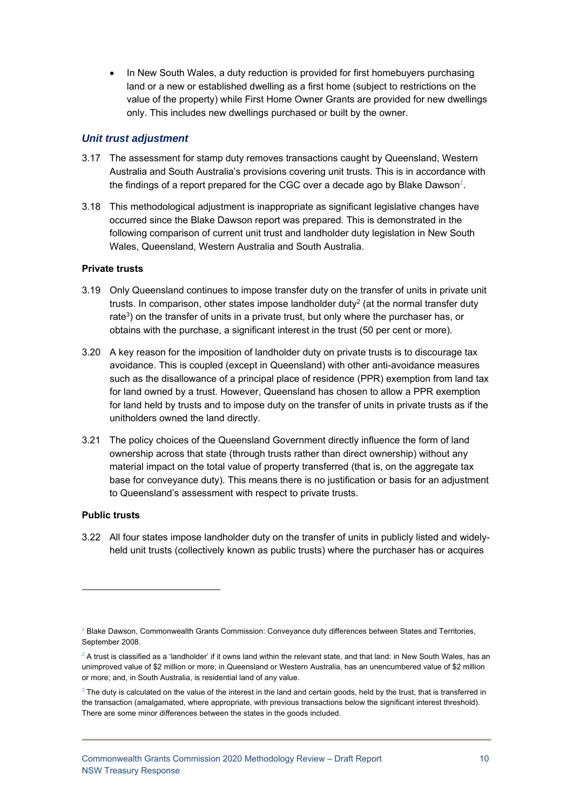• In New South Wales, a duty reduction is provided for first homebuyers purchasing land or a new or established dwelling as a first home (subject to restrictions on the value of the property) while First Home Owner Grants are provided for new dwellings only. This includes new dwellings purchased or built by the owner.

#### *Unit trust adjustment*

- 3.17 The assessment for stamp duty removes transactions caught by Queensland, Western Australia and South Australia's provisions covering unit trusts. This is in accordance with the findings of a report prepared for the CGC over a decade ago by Blake Dawson*<sup>1</sup>*.
- 3.18 This methodological adjustment is inappropriate as significant legislative changes have occurred since the Blake Dawson report was prepared. This is demonstrated in the following comparison of current unit trust and landholder duty legislation in New South Wales, Queensland, Western Australia and South Australia.

#### **Private trusts**

- 3.19 Only Queensland continues to impose transfer duty on the transfer of units in private unit trusts. In comparison, other states impose landholder duty<sup>2</sup> (at the normal transfer duty rate<sup>3</sup>) on the transfer of units in a private trust, but only where the purchaser has, or obtains with the purchase, a significant interest in the trust (50 per cent or more).
- 3.20 A key reason for the imposition of landholder duty on private trusts is to discourage tax avoidance. This is coupled (except in Queensland) with other anti-avoidance measures such as the disallowance of a principal place of residence (PPR) exemption from land tax for land owned by a trust. However, Queensland has chosen to allow a PPR exemption for land held by trusts and to impose duty on the transfer of units in private trusts as if the unitholders owned the land directly.
- 3.21 The policy choices of the Queensland Government directly influence the form of land ownership across that state (through trusts rather than direct ownership) without any material impact on the total value of property transferred (that is, on the aggregate tax base for conveyance duty). This means there is no justification or basis for an adjustment to Queensland's assessment with respect to private trusts.

#### **Public trusts**

1

3.22 All four states impose landholder duty on the transfer of units in publicly listed and widelyheld unit trusts (collectively known as public trusts) where the purchaser has or acquires

<sup>&</sup>lt;sup>1</sup> Blake Dawson, Commonwealth Grants Commission: Conveyance duty differences between States and Territories, September 2008.

 $^2$  A trust is classified as a 'landholder' if it owns land within the relevant state, and that land: in New South Wales, has an unimproved value of \$2 million or more; in Queensland or Western Australia, has an unencumbered value of \$2 million or more; and, in South Australia, is residential land of any value.

*<sup>3</sup>* The duty is calculated on the value of the interest in the land and certain goods, held by the trust, that is transferred in the transaction (amalgamated, where appropriate, with previous transactions below the significant interest threshold). There are some minor differences between the states in the goods included.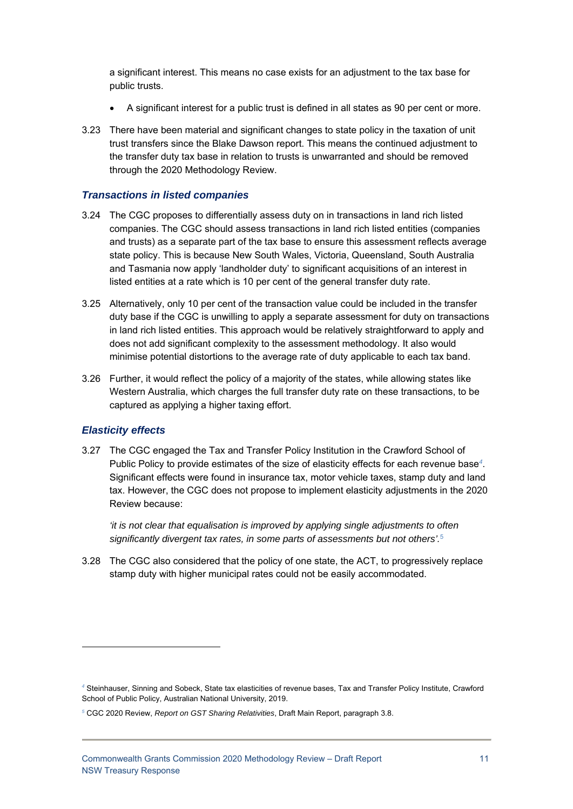a significant interest. This means no case exists for an adjustment to the tax base for public trusts.

- A significant interest for a public trust is defined in all states as 90 per cent or more.
- 3.23 There have been material and significant changes to state policy in the taxation of unit trust transfers since the Blake Dawson report. This means the continued adjustment to the transfer duty tax base in relation to trusts is unwarranted and should be removed through the 2020 Methodology Review.

#### *Transactions in listed companies*

- 3.24 The CGC proposes to differentially assess duty on in transactions in land rich listed companies. The CGC should assess transactions in land rich listed entities (companies and trusts) as a separate part of the tax base to ensure this assessment reflects average state policy. This is because New South Wales, Victoria, Queensland, South Australia and Tasmania now apply 'landholder duty' to significant acquisitions of an interest in listed entities at a rate which is 10 per cent of the general transfer duty rate.
- 3.25 Alternatively, only 10 per cent of the transaction value could be included in the transfer duty base if the CGC is unwilling to apply a separate assessment for duty on transactions in land rich listed entities. This approach would be relatively straightforward to apply and does not add significant complexity to the assessment methodology. It also would minimise potential distortions to the average rate of duty applicable to each tax band.
- 3.26 Further, it would reflect the policy of a majority of the states, while allowing states like Western Australia, which charges the full transfer duty rate on these transactions, to be captured as applying a higher taxing effort.

#### *Elasticity effects*

1

3.27 The CGC engaged the Tax and Transfer Policy Institution in the Crawford School of Public Policy to provide estimates of the size of elasticity effects for each revenue base*<sup>4</sup>*. Significant effects were found in insurance tax, motor vehicle taxes, stamp duty and land tax. However, the CGC does not propose to implement elasticity adjustments in the 2020 Review because:

*'it is not clear that equalisation is improved by applying single adjustments to often significantly divergent tax rates, in some parts of assessments but not others'.*<sup>5</sup>

3.28 The CGC also considered that the policy of one state, the ACT, to progressively replace stamp duty with higher municipal rates could not be easily accommodated.

*<sup>4</sup>* Steinhauser, Sinning and Sobeck, State tax elasticities of revenue bases, Tax and Transfer Policy Institute, Crawford School of Public Policy, Australian National University, 2019.

*<sup>5</sup>* CGC 2020 Review, *Report on GST Sharing Relativities*, Draft Main Report, paragraph 3.8.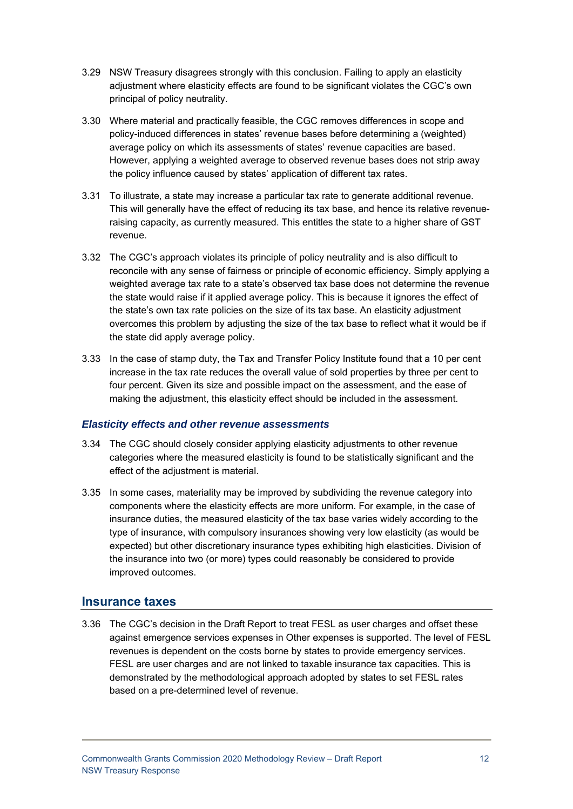- 3.29 NSW Treasury disagrees strongly with this conclusion. Failing to apply an elasticity adjustment where elasticity effects are found to be significant violates the CGC's own principal of policy neutrality.
- 3.30 Where material and practically feasible, the CGC removes differences in scope and policy-induced differences in states' revenue bases before determining a (weighted) average policy on which its assessments of states' revenue capacities are based. However, applying a weighted average to observed revenue bases does not strip away the policy influence caused by states' application of different tax rates.
- 3.31 To illustrate, a state may increase a particular tax rate to generate additional revenue. This will generally have the effect of reducing its tax base, and hence its relative revenueraising capacity, as currently measured. This entitles the state to a higher share of GST revenue.
- 3.32 The CGC's approach violates its principle of policy neutrality and is also difficult to reconcile with any sense of fairness or principle of economic efficiency. Simply applying a weighted average tax rate to a state's observed tax base does not determine the revenue the state would raise if it applied average policy. This is because it ignores the effect of the state's own tax rate policies on the size of its tax base. An elasticity adjustment overcomes this problem by adjusting the size of the tax base to reflect what it would be if the state did apply average policy.
- 3.33 In the case of stamp duty, the Tax and Transfer Policy Institute found that a 10 per cent increase in the tax rate reduces the overall value of sold properties by three per cent to four percent. Given its size and possible impact on the assessment, and the ease of making the adjustment, this elasticity effect should be included in the assessment.

#### *Elasticity effects and other revenue assessments*

- 3.34 The CGC should closely consider applying elasticity adjustments to other revenue categories where the measured elasticity is found to be statistically significant and the effect of the adjustment is material.
- 3.35 In some cases, materiality may be improved by subdividing the revenue category into components where the elasticity effects are more uniform. For example, in the case of insurance duties, the measured elasticity of the tax base varies widely according to the type of insurance, with compulsory insurances showing very low elasticity (as would be expected) but other discretionary insurance types exhibiting high elasticities. Division of the insurance into two (or more) types could reasonably be considered to provide improved outcomes.

#### **Insurance taxes**

3.36 The CGC's decision in the Draft Report to treat FESL as user charges and offset these against emergence services expenses in Other expenses is supported. The level of FESL revenues is dependent on the costs borne by states to provide emergency services. FESL are user charges and are not linked to taxable insurance tax capacities. This is demonstrated by the methodological approach adopted by states to set FESL rates based on a pre-determined level of revenue.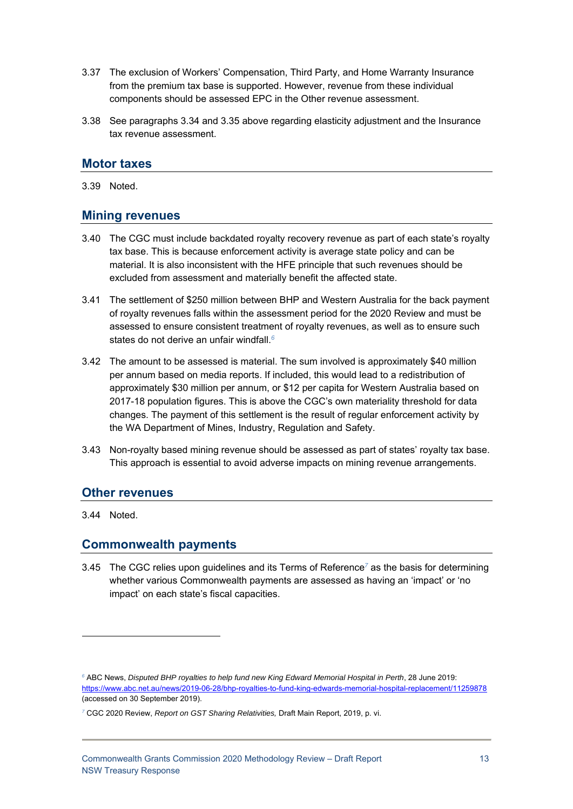- 3.37 The exclusion of Workers' Compensation, Third Party, and Home Warranty Insurance from the premium tax base is supported. However, revenue from these individual components should be assessed EPC in the Other revenue assessment.
- 3.38 See paragraphs 3.34 and 3.35 above regarding elasticity adjustment and the Insurance tax revenue assessment.

### **Motor taxes**

3.39 Noted.

### **Mining revenues**

- 3.40 The CGC must include backdated royalty recovery revenue as part of each state's royalty tax base. This is because enforcement activity is average state policy and can be material. It is also inconsistent with the HFE principle that such revenues should be excluded from assessment and materially benefit the affected state.
- 3.41 The settlement of \$250 million between BHP and Western Australia for the back payment of royalty revenues falls within the assessment period for the 2020 Review and must be assessed to ensure consistent treatment of royalty revenues, as well as to ensure such states do not derive an unfair windfall.*<sup>6</sup>*
- 3.42 The amount to be assessed is material. The sum involved is approximately \$40 million per annum based on media reports. If included, this would lead to a redistribution of approximately \$30 million per annum, or \$12 per capita for Western Australia based on 2017-18 population figures. This is above the CGC's own materiality threshold for data changes. The payment of this settlement is the result of regular enforcement activity by the WA Department of Mines, Industry, Regulation and Safety.
- 3.43 Non-royalty based mining revenue should be assessed as part of states' royalty tax base. This approach is essential to avoid adverse impacts on mining revenue arrangements.

#### **Other revenues**

3.44 Noted.

1

#### **Commonwealth payments**

3.45 The CGC relies upon guidelines and its Terms of Reference*<sup>7</sup>* as the basis for determining whether various Commonwealth payments are assessed as having an 'impact' or 'no impact' on each state's fiscal capacities.

*<sup>6</sup>* ABC News, *Disputed BHP royalties to help fund new King Edward Memorial Hospital in Perth*, 28 June 2019: https://www.abc.net.au/news/2019-06-28/bhp-royalties-to-fund-king-edwards-memorial-hospital-replacement/11259878 (accessed on 30 September 2019).

*<sup>7</sup>* CGC 2020 Review, *Report on GST Sharing Relativities,* Draft Main Report, 2019, p. vi.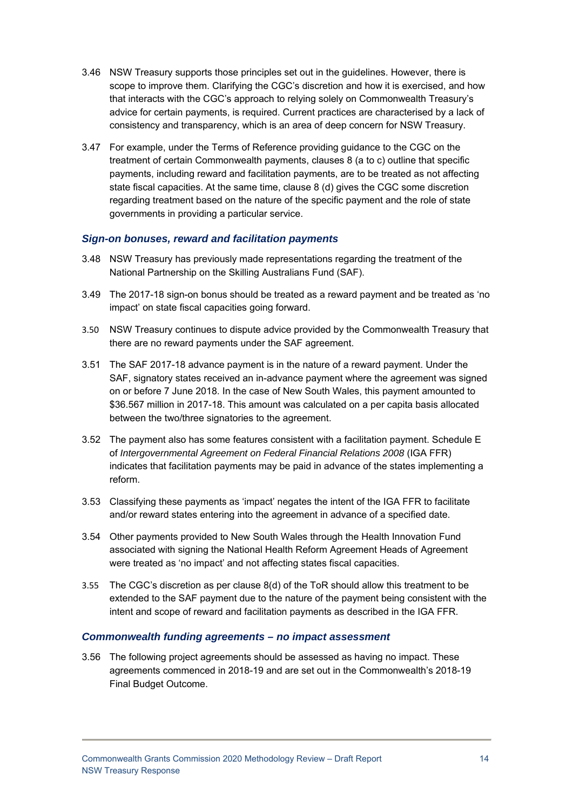- 3.46 NSW Treasury supports those principles set out in the guidelines. However, there is scope to improve them. Clarifying the CGC's discretion and how it is exercised, and how that interacts with the CGC's approach to relying solely on Commonwealth Treasury's advice for certain payments, is required. Current practices are characterised by a lack of consistency and transparency, which is an area of deep concern for NSW Treasury.
- 3.47 For example, under the Terms of Reference providing guidance to the CGC on the treatment of certain Commonwealth payments, clauses 8 (a to c) outline that specific payments, including reward and facilitation payments, are to be treated as not affecting state fiscal capacities. At the same time, clause 8 (d) gives the CGC some discretion regarding treatment based on the nature of the specific payment and the role of state governments in providing a particular service.

#### *Sign-on bonuses, reward and facilitation payments*

- 3.48 NSW Treasury has previously made representations regarding the treatment of the National Partnership on the Skilling Australians Fund (SAF).
- 3.49 The 2017-18 sign-on bonus should be treated as a reward payment and be treated as 'no impact' on state fiscal capacities going forward.
- 3.50 NSW Treasury continues to dispute advice provided by the Commonwealth Treasury that there are no reward payments under the SAF agreement.
- 3.51 The SAF 2017-18 advance payment is in the nature of a reward payment. Under the SAF, signatory states received an in-advance payment where the agreement was signed on or before 7 June 2018. In the case of New South Wales, this payment amounted to \$36.567 million in 2017-18. This amount was calculated on a per capita basis allocated between the two/three signatories to the agreement.
- 3.52 The payment also has some features consistent with a facilitation payment. Schedule E of *Intergovernmental Agreement on Federal Financial Relations 2008* (IGA FFR) indicates that facilitation payments may be paid in advance of the states implementing a reform.
- 3.53 Classifying these payments as 'impact' negates the intent of the IGA FFR to facilitate and/or reward states entering into the agreement in advance of a specified date.
- 3.54 Other payments provided to New South Wales through the Health Innovation Fund associated with signing the National Health Reform Agreement Heads of Agreement were treated as 'no impact' and not affecting states fiscal capacities.
- 3.55 The CGC's discretion as per clause 8(d) of the ToR should allow this treatment to be extended to the SAF payment due to the nature of the payment being consistent with the intent and scope of reward and facilitation payments as described in the IGA FFR.

#### *Commonwealth funding agreements – no impact assessment*

3.56 The following project agreements should be assessed as having no impact. These agreements commenced in 2018-19 and are set out in the Commonwealth's 2018-19 Final Budget Outcome.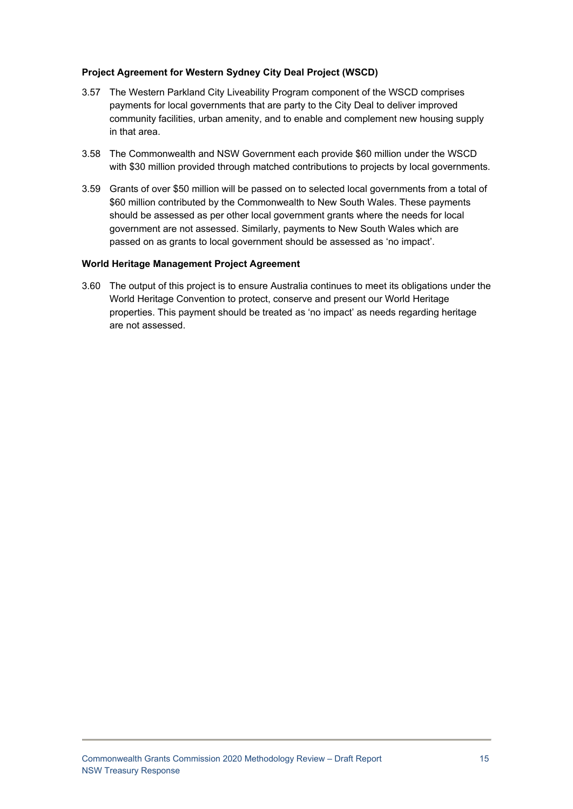#### **Project Agreement for Western Sydney City Deal Project (WSCD)**

- 3.57 The Western Parkland City Liveability Program component of the WSCD comprises payments for local governments that are party to the City Deal to deliver improved community facilities, urban amenity, and to enable and complement new housing supply in that area.
- 3.58 The Commonwealth and NSW Government each provide \$60 million under the WSCD with \$30 million provided through matched contributions to projects by local governments.
- 3.59 Grants of over \$50 million will be passed on to selected local governments from a total of \$60 million contributed by the Commonwealth to New South Wales. These payments should be assessed as per other local government grants where the needs for local government are not assessed. Similarly, payments to New South Wales which are passed on as grants to local government should be assessed as 'no impact'.

#### **World Heritage Management Project Agreement**

3.60 The output of this project is to ensure Australia continues to meet its obligations under the World Heritage Convention to protect, conserve and present our World Heritage properties. This payment should be treated as 'no impact' as needs regarding heritage are not assessed.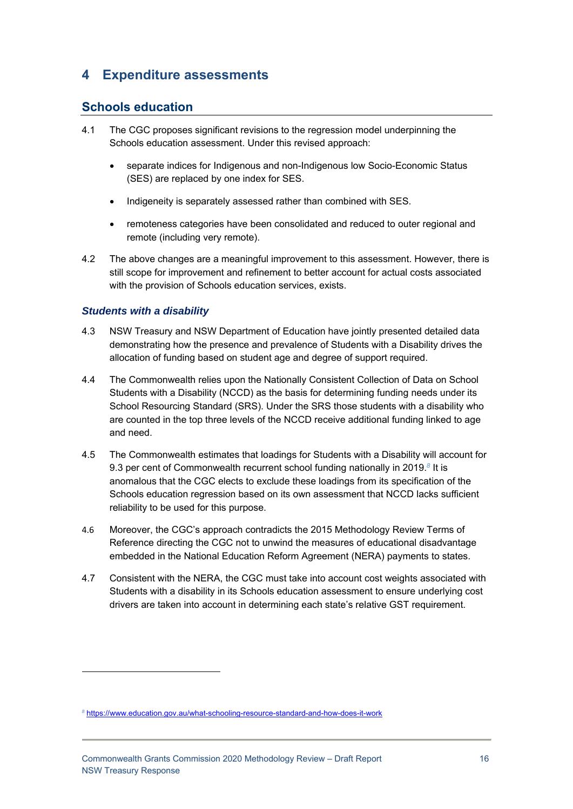# **4 Expenditure assessments**

# **Schools education**

- 4.1 The CGC proposes significant revisions to the regression model underpinning the Schools education assessment. Under this revised approach:
	- separate indices for Indigenous and non-Indigenous low Socio-Economic Status (SES) are replaced by one index for SES.
	- Indigeneity is separately assessed rather than combined with SES.
	- remoteness categories have been consolidated and reduced to outer regional and remote (including very remote).
- 4.2 The above changes are a meaningful improvement to this assessment. However, there is still scope for improvement and refinement to better account for actual costs associated with the provision of Schools education services, exists.

### *Students with a disability*

- 4.3 NSW Treasury and NSW Department of Education have jointly presented detailed data demonstrating how the presence and prevalence of Students with a Disability drives the allocation of funding based on student age and degree of support required.
- 4.4 The Commonwealth relies upon the Nationally Consistent Collection of Data on School Students with a Disability (NCCD) as the basis for determining funding needs under its School Resourcing Standard (SRS). Under the SRS those students with a disability who are counted in the top three levels of the NCCD receive additional funding linked to age and need.
- 4.5 The Commonwealth estimates that loadings for Students with a Disability will account for 9.3 per cent of Commonwealth recurrent school funding nationally in 2019.*<sup>8</sup>* It is anomalous that the CGC elects to exclude these loadings from its specification of the Schools education regression based on its own assessment that NCCD lacks sufficient reliability to be used for this purpose.
- 4.6 Moreover, the CGC's approach contradicts the 2015 Methodology Review Terms of Reference directing the CGC not to unwind the measures of educational disadvantage embedded in the National Education Reform Agreement (NERA) payments to states.
- 4.7 Consistent with the NERA, the CGC must take into account cost weights associated with Students with a disability in its Schools education assessment to ensure underlying cost drivers are taken into account in determining each state's relative GST requirement.

*<sup>8</sup>* https://www.education.gov.au/what-schooling-resource-standard-and-how-does-it-work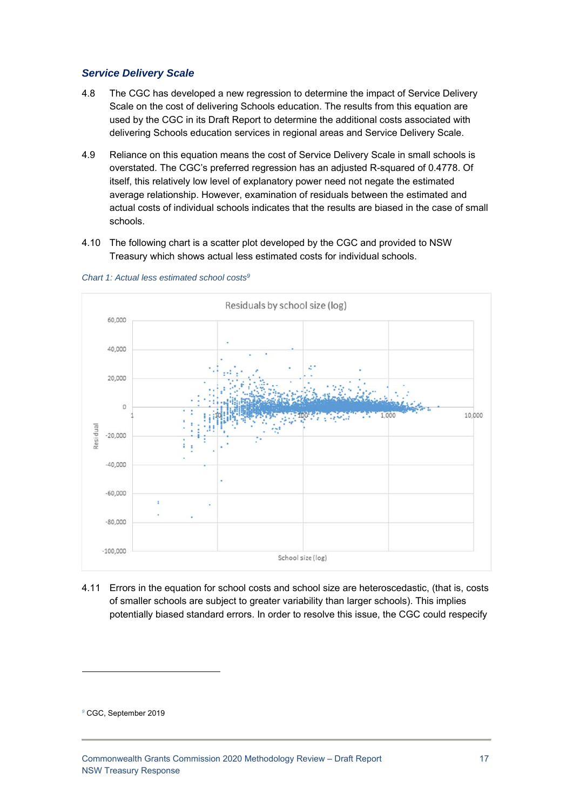#### *Service Delivery Scale*

- 4.8 The CGC has developed a new regression to determine the impact of Service Delivery Scale on the cost of delivering Schools education. The results from this equation are used by the CGC in its Draft Report to determine the additional costs associated with delivering Schools education services in regional areas and Service Delivery Scale.
- 4.9 Reliance on this equation means the cost of Service Delivery Scale in small schools is overstated. The CGC's preferred regression has an adjusted R-squared of 0.4778. Of itself, this relatively low level of explanatory power need not negate the estimated average relationship. However, examination of residuals between the estimated and actual costs of individual schools indicates that the results are biased in the case of small schools.
- 4.10 The following chart is a scatter plot developed by the CGC and provided to NSW Treasury which shows actual less estimated costs for individual schools.



*Chart 1: Actual less estimated school costs9*

4.11 Errors in the equation for school costs and school size are heteroscedastic, (that is, costs of smaller schools are subject to greater variability than larger schools). This implies potentially biased standard errors. In order to resolve this issue, the CGC could respecify

*<sup>9</sup>* CGC, September 2019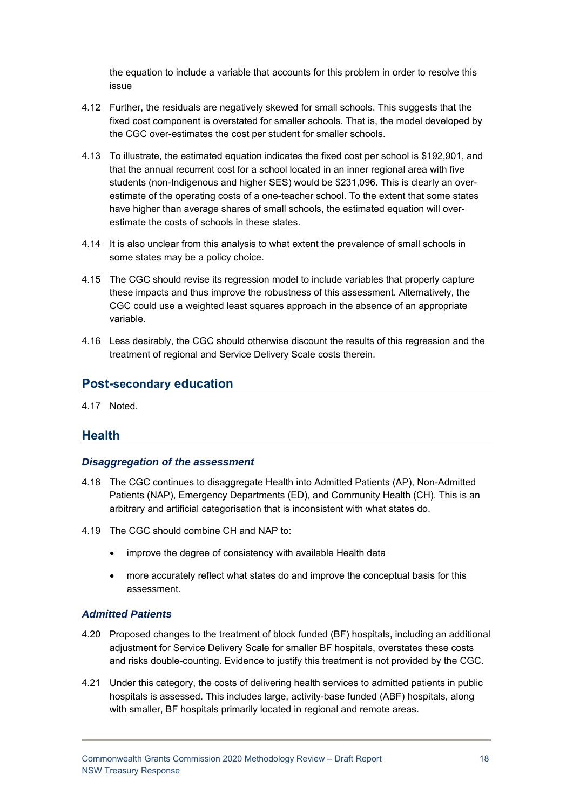the equation to include a variable that accounts for this problem in order to resolve this issue

- 4.12 Further, the residuals are negatively skewed for small schools. This suggests that the fixed cost component is overstated for smaller schools. That is, the model developed by the CGC over-estimates the cost per student for smaller schools.
- 4.13 To illustrate, the estimated equation indicates the fixed cost per school is \$192,901, and that the annual recurrent cost for a school located in an inner regional area with five students (non-Indigenous and higher SES) would be \$231,096. This is clearly an overestimate of the operating costs of a one-teacher school. To the extent that some states have higher than average shares of small schools, the estimated equation will overestimate the costs of schools in these states.
- 4.14 It is also unclear from this analysis to what extent the prevalence of small schools in some states may be a policy choice.
- 4.15 The CGC should revise its regression model to include variables that properly capture these impacts and thus improve the robustness of this assessment. Alternatively, the CGC could use a weighted least squares approach in the absence of an appropriate variable.
- 4.16 Less desirably, the CGC should otherwise discount the results of this regression and the treatment of regional and Service Delivery Scale costs therein.

# **Post-secondary education**

4.17 Noted.

# **Health**

#### *Disaggregation of the assessment*

- 4.18 The CGC continues to disaggregate Health into Admitted Patients (AP), Non-Admitted Patients (NAP), Emergency Departments (ED), and Community Health (CH). This is an arbitrary and artificial categorisation that is inconsistent with what states do.
- 4.19 The CGC should combine CH and NAP to:
	- improve the degree of consistency with available Health data
	- more accurately reflect what states do and improve the conceptual basis for this assessment.

#### *Admitted Patients*

- 4.20 Proposed changes to the treatment of block funded (BF) hospitals, including an additional adjustment for Service Delivery Scale for smaller BF hospitals, overstates these costs and risks double-counting. Evidence to justify this treatment is not provided by the CGC.
- 4.21 Under this category, the costs of delivering health services to admitted patients in public hospitals is assessed. This includes large, activity-base funded (ABF) hospitals, along with smaller, BF hospitals primarily located in regional and remote areas.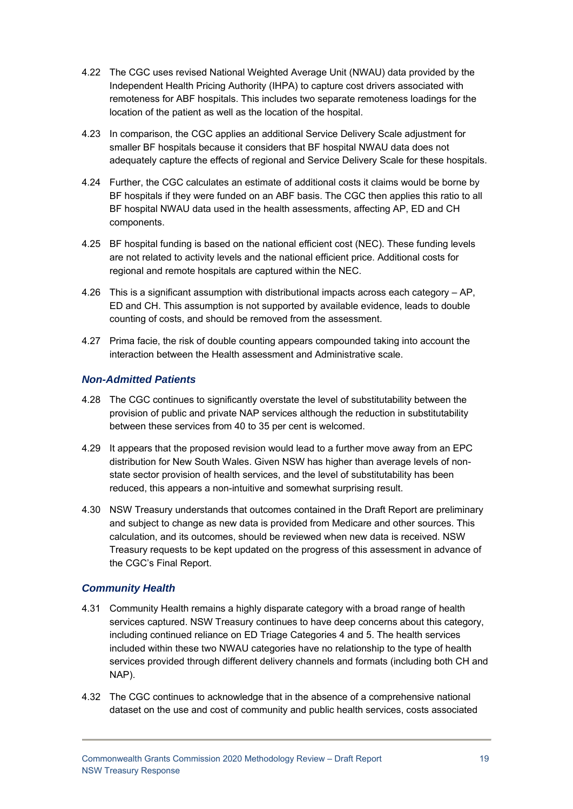- 4.22 The CGC uses revised National Weighted Average Unit (NWAU) data provided by the Independent Health Pricing Authority (IHPA) to capture cost drivers associated with remoteness for ABF hospitals. This includes two separate remoteness loadings for the location of the patient as well as the location of the hospital.
- 4.23 In comparison, the CGC applies an additional Service Delivery Scale adjustment for smaller BF hospitals because it considers that BF hospital NWAU data does not adequately capture the effects of regional and Service Delivery Scale for these hospitals.
- 4.24 Further, the CGC calculates an estimate of additional costs it claims would be borne by BF hospitals if they were funded on an ABF basis. The CGC then applies this ratio to all BF hospital NWAU data used in the health assessments, affecting AP, ED and CH components.
- 4.25 BF hospital funding is based on the national efficient cost (NEC). These funding levels are not related to activity levels and the national efficient price. Additional costs for regional and remote hospitals are captured within the NEC.
- 4.26 This is a significant assumption with distributional impacts across each category AP, ED and CH. This assumption is not supported by available evidence, leads to double counting of costs, and should be removed from the assessment.
- 4.27 Prima facie, the risk of double counting appears compounded taking into account the interaction between the Health assessment and Administrative scale.

### *Non-Admitted Patients*

- 4.28 The CGC continues to significantly overstate the level of substitutability between the provision of public and private NAP services although the reduction in substitutability between these services from 40 to 35 per cent is welcomed.
- 4.29 It appears that the proposed revision would lead to a further move away from an EPC distribution for New South Wales. Given NSW has higher than average levels of nonstate sector provision of health services, and the level of substitutability has been reduced, this appears a non-intuitive and somewhat surprising result.
- 4.30 NSW Treasury understands that outcomes contained in the Draft Report are preliminary and subject to change as new data is provided from Medicare and other sources. This calculation, and its outcomes, should be reviewed when new data is received. NSW Treasury requests to be kept updated on the progress of this assessment in advance of the CGC's Final Report.

#### *Community Health*

- 4.31 Community Health remains a highly disparate category with a broad range of health services captured. NSW Treasury continues to have deep concerns about this category, including continued reliance on ED Triage Categories 4 and 5. The health services included within these two NWAU categories have no relationship to the type of health services provided through different delivery channels and formats (including both CH and NAP).
- 4.32 The CGC continues to acknowledge that in the absence of a comprehensive national dataset on the use and cost of community and public health services, costs associated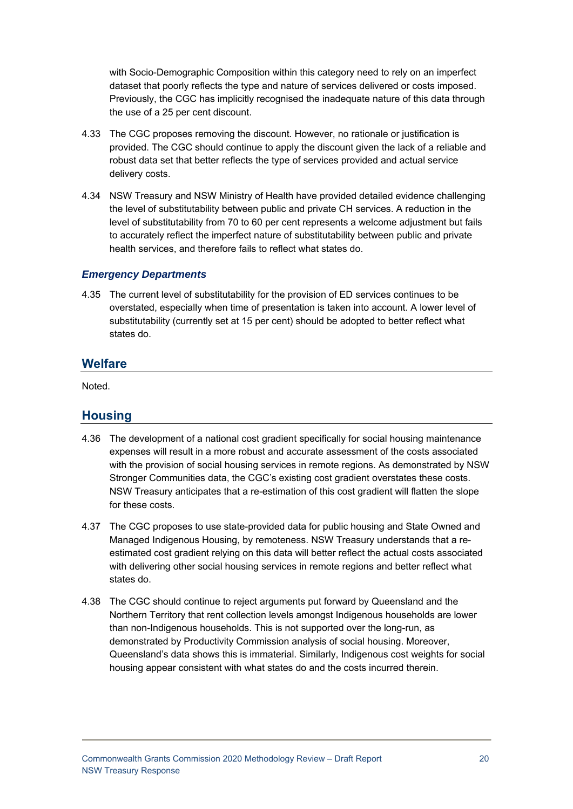with Socio-Demographic Composition within this category need to rely on an imperfect dataset that poorly reflects the type and nature of services delivered or costs imposed. Previously, the CGC has implicitly recognised the inadequate nature of this data through the use of a 25 per cent discount.

- 4.33 The CGC proposes removing the discount. However, no rationale or justification is provided. The CGC should continue to apply the discount given the lack of a reliable and robust data set that better reflects the type of services provided and actual service delivery costs.
- 4.34 NSW Treasury and NSW Ministry of Health have provided detailed evidence challenging the level of substitutability between public and private CH services. A reduction in the level of substitutability from 70 to 60 per cent represents a welcome adjustment but fails to accurately reflect the imperfect nature of substitutability between public and private health services, and therefore fails to reflect what states do.

#### *Emergency Departments*

4.35 The current level of substitutability for the provision of ED services continues to be overstated, especially when time of presentation is taken into account. A lower level of substitutability (currently set at 15 per cent) should be adopted to better reflect what states do.

### **Welfare**

Noted.

### **Housing**

- 4.36 The development of a national cost gradient specifically for social housing maintenance expenses will result in a more robust and accurate assessment of the costs associated with the provision of social housing services in remote regions. As demonstrated by NSW Stronger Communities data, the CGC's existing cost gradient overstates these costs. NSW Treasury anticipates that a re-estimation of this cost gradient will flatten the slope for these costs.
- 4.37 The CGC proposes to use state-provided data for public housing and State Owned and Managed Indigenous Housing, by remoteness. NSW Treasury understands that a reestimated cost gradient relying on this data will better reflect the actual costs associated with delivering other social housing services in remote regions and better reflect what states do.
- 4.38 The CGC should continue to reject arguments put forward by Queensland and the Northern Territory that rent collection levels amongst Indigenous households are lower than non-Indigenous households. This is not supported over the long-run, as demonstrated by Productivity Commission analysis of social housing. Moreover, Queensland's data shows this is immaterial. Similarly, Indigenous cost weights for social housing appear consistent with what states do and the costs incurred therein.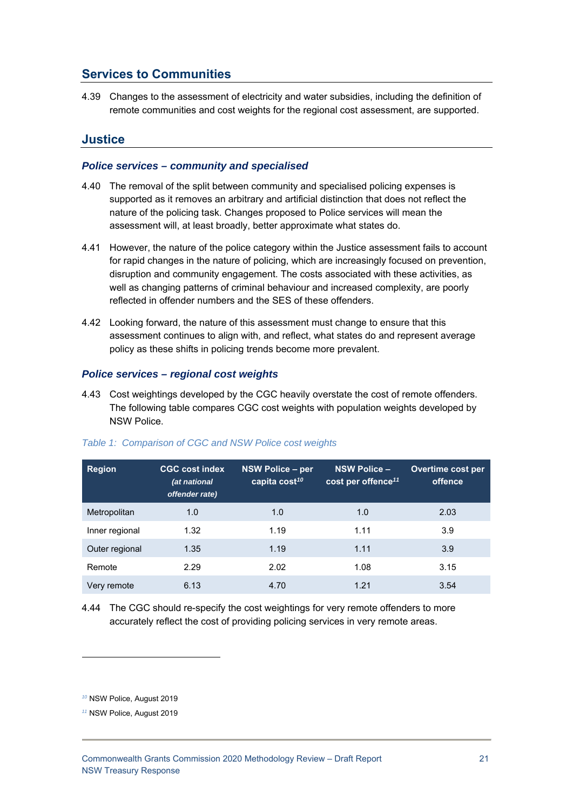# **Services to Communities**

4.39 Changes to the assessment of electricity and water subsidies, including the definition of remote communities and cost weights for the regional cost assessment, are supported.

### **Justice**

#### *Police services – community and specialised*

- 4.40 The removal of the split between community and specialised policing expenses is supported as it removes an arbitrary and artificial distinction that does not reflect the nature of the policing task. Changes proposed to Police services will mean the assessment will, at least broadly, better approximate what states do.
- 4.41 However, the nature of the police category within the Justice assessment fails to account for rapid changes in the nature of policing, which are increasingly focused on prevention, disruption and community engagement. The costs associated with these activities, as well as changing patterns of criminal behaviour and increased complexity, are poorly reflected in offender numbers and the SES of these offenders.
- 4.42 Looking forward, the nature of this assessment must change to ensure that this assessment continues to align with, and reflect, what states do and represent average policy as these shifts in policing trends become more prevalent.

#### *Police services – regional cost weights*

4.43 Cost weightings developed by the CGC heavily overstate the cost of remote offenders. The following table compares CGC cost weights with population weights developed by NSW Police.

| <b>Region</b>  | <b>CGC cost index</b><br>(at national<br>offender rate) | NSW Police - per<br>capita cost <sup>10</sup> | <b>NSW Police -</b><br>cost per offence <sup>11</sup> | Overtime cost per<br>offence |
|----------------|---------------------------------------------------------|-----------------------------------------------|-------------------------------------------------------|------------------------------|
| Metropolitan   | 1.0                                                     | 1.0                                           | 1.0                                                   | 2.03                         |
| Inner regional | 1.32                                                    | 1.19                                          | 1.11                                                  | 3.9                          |
| Outer regional | 1.35                                                    | 1.19                                          | 1.11                                                  | 3.9                          |
| Remote         | 2.29                                                    | 2.02                                          | 1.08                                                  | 3.15                         |
| Very remote    | 6.13                                                    | 4.70                                          | 1.21                                                  | 3.54                         |

#### *Table 1: Comparison of CGC and NSW Police cost weights*

4.44 The CGC should re-specify the cost weightings for very remote offenders to more accurately reflect the cost of providing policing services in very remote areas.

*<sup>10</sup>* NSW Police, August 2019

*<sup>11</sup>* NSW Police, August 2019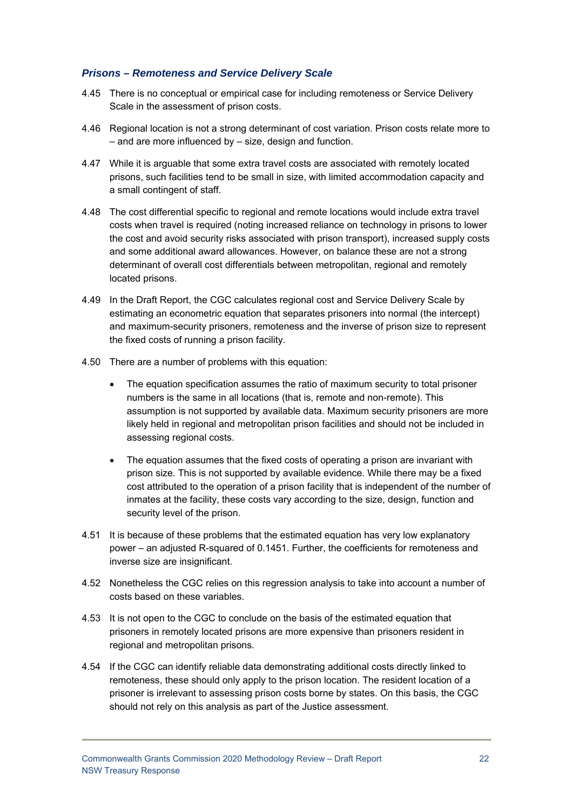#### *Prisons – Remoteness and Service Delivery Scale*

- 4.45 There is no conceptual or empirical case for including remoteness or Service Delivery Scale in the assessment of prison costs.
- 4.46 Regional location is not a strong determinant of cost variation. Prison costs relate more to – and are more influenced by – size, design and function.
- 4.47 While it is arguable that some extra travel costs are associated with remotely located prisons, such facilities tend to be small in size, with limited accommodation capacity and a small contingent of staff.
- 4.48 The cost differential specific to regional and remote locations would include extra travel costs when travel is required (noting increased reliance on technology in prisons to lower the cost and avoid security risks associated with prison transport), increased supply costs and some additional award allowances. However, on balance these are not a strong determinant of overall cost differentials between metropolitan, regional and remotely located prisons.
- 4.49 In the Draft Report, the CGC calculates regional cost and Service Delivery Scale by estimating an econometric equation that separates prisoners into normal (the intercept) and maximum-security prisoners, remoteness and the inverse of prison size to represent the fixed costs of running a prison facility.
- 4.50 There are a number of problems with this equation:
	- The equation specification assumes the ratio of maximum security to total prisoner numbers is the same in all locations (that is, remote and non-remote). This assumption is not supported by available data. Maximum security prisoners are more likely held in regional and metropolitan prison facilities and should not be included in assessing regional costs.
	- The equation assumes that the fixed costs of operating a prison are invariant with prison size. This is not supported by available evidence. While there may be a fixed cost attributed to the operation of a prison facility that is independent of the number of inmates at the facility, these costs vary according to the size, design, function and security level of the prison.
- 4.51 It is because of these problems that the estimated equation has very low explanatory power – an adjusted R-squared of 0.1451. Further, the coefficients for remoteness and inverse size are insignificant.
- 4.52 Nonetheless the CGC relies on this regression analysis to take into account a number of costs based on these variables.
- 4.53 It is not open to the CGC to conclude on the basis of the estimated equation that prisoners in remotely located prisons are more expensive than prisoners resident in regional and metropolitan prisons.
- 4.54 If the CGC can identify reliable data demonstrating additional costs directly linked to remoteness, these should only apply to the prison location. The resident location of a prisoner is irrelevant to assessing prison costs borne by states. On this basis, the CGC should not rely on this analysis as part of the Justice assessment.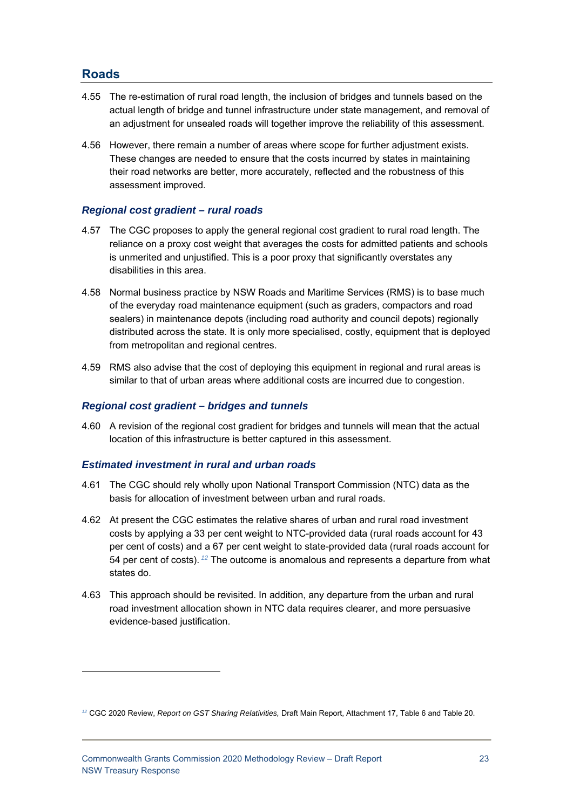# **Roads**

1

- 4.55 The re-estimation of rural road length, the inclusion of bridges and tunnels based on the actual length of bridge and tunnel infrastructure under state management, and removal of an adjustment for unsealed roads will together improve the reliability of this assessment.
- 4.56 However, there remain a number of areas where scope for further adjustment exists. These changes are needed to ensure that the costs incurred by states in maintaining their road networks are better, more accurately, reflected and the robustness of this assessment improved.

#### *Regional cost gradient – rural roads*

- 4.57 The CGC proposes to apply the general regional cost gradient to rural road length. The reliance on a proxy cost weight that averages the costs for admitted patients and schools is unmerited and unjustified. This is a poor proxy that significantly overstates any disabilities in this area.
- 4.58 Normal business practice by NSW Roads and Maritime Services (RMS) is to base much of the everyday road maintenance equipment (such as graders, compactors and road sealers) in maintenance depots (including road authority and council depots) regionally distributed across the state. It is only more specialised, costly, equipment that is deployed from metropolitan and regional centres.
- 4.59 RMS also advise that the cost of deploying this equipment in regional and rural areas is similar to that of urban areas where additional costs are incurred due to congestion.

#### *Regional cost gradient – bridges and tunnels*

4.60 A revision of the regional cost gradient for bridges and tunnels will mean that the actual location of this infrastructure is better captured in this assessment.

#### *Estimated investment in rural and urban roads*

- 4.61 The CGC should rely wholly upon National Transport Commission (NTC) data as the basis for allocation of investment between urban and rural roads.
- 4.62 At present the CGC estimates the relative shares of urban and rural road investment costs by applying a 33 per cent weight to NTC-provided data (rural roads account for 43 per cent of costs) and a 67 per cent weight to state-provided data (rural roads account for 54 per cent of costs).*<sup>12</sup>* The outcome is anomalous and represents a departure from what states do.
- 4.63 This approach should be revisited. In addition, any departure from the urban and rural road investment allocation shown in NTC data requires clearer, and more persuasive evidence-based justification.

*<sup>12</sup>* CGC 2020 Review, *Report on GST Sharing Relativities,* Draft Main Report, Attachment 17, Table 6 and Table 20.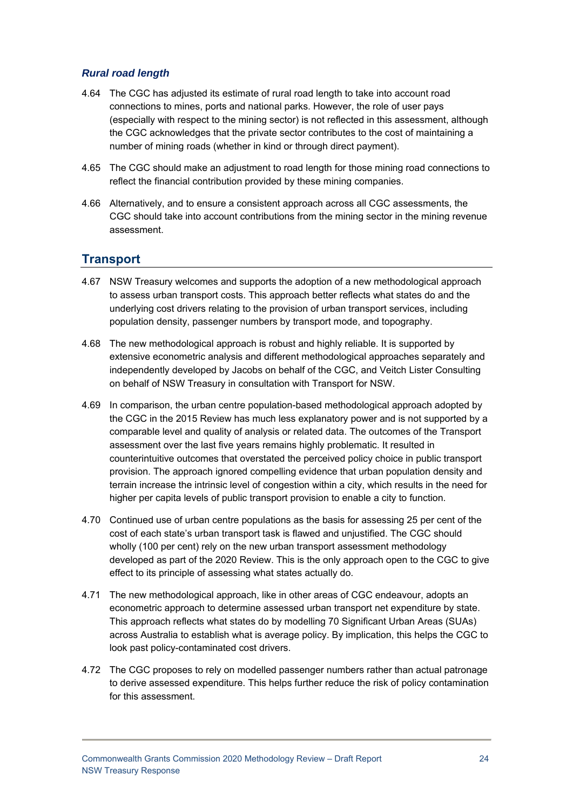#### *Rural road length*

- 4.64 The CGC has adjusted its estimate of rural road length to take into account road connections to mines, ports and national parks. However, the role of user pays (especially with respect to the mining sector) is not reflected in this assessment, although the CGC acknowledges that the private sector contributes to the cost of maintaining a number of mining roads (whether in kind or through direct payment).
- 4.65 The CGC should make an adjustment to road length for those mining road connections to reflect the financial contribution provided by these mining companies.
- 4.66 Alternatively, and to ensure a consistent approach across all CGC assessments, the CGC should take into account contributions from the mining sector in the mining revenue assessment.

# **Transport**

- 4.67 NSW Treasury welcomes and supports the adoption of a new methodological approach to assess urban transport costs. This approach better reflects what states do and the underlying cost drivers relating to the provision of urban transport services, including population density, passenger numbers by transport mode, and topography.
- 4.68 The new methodological approach is robust and highly reliable. It is supported by extensive econometric analysis and different methodological approaches separately and independently developed by Jacobs on behalf of the CGC, and Veitch Lister Consulting on behalf of NSW Treasury in consultation with Transport for NSW.
- 4.69 In comparison, the urban centre population-based methodological approach adopted by the CGC in the 2015 Review has much less explanatory power and is not supported by a comparable level and quality of analysis or related data. The outcomes of the Transport assessment over the last five years remains highly problematic. It resulted in counterintuitive outcomes that overstated the perceived policy choice in public transport provision. The approach ignored compelling evidence that urban population density and terrain increase the intrinsic level of congestion within a city, which results in the need for higher per capita levels of public transport provision to enable a city to function.
- 4.70 Continued use of urban centre populations as the basis for assessing 25 per cent of the cost of each state's urban transport task is flawed and unjustified. The CGC should wholly (100 per cent) rely on the new urban transport assessment methodology developed as part of the 2020 Review. This is the only approach open to the CGC to give effect to its principle of assessing what states actually do.
- 4.71 The new methodological approach, like in other areas of CGC endeavour, adopts an econometric approach to determine assessed urban transport net expenditure by state. This approach reflects what states do by modelling 70 Significant Urban Areas (SUAs) across Australia to establish what is average policy. By implication, this helps the CGC to look past policy-contaminated cost drivers.
- 4.72 The CGC proposes to rely on modelled passenger numbers rather than actual patronage to derive assessed expenditure. This helps further reduce the risk of policy contamination for this assessment.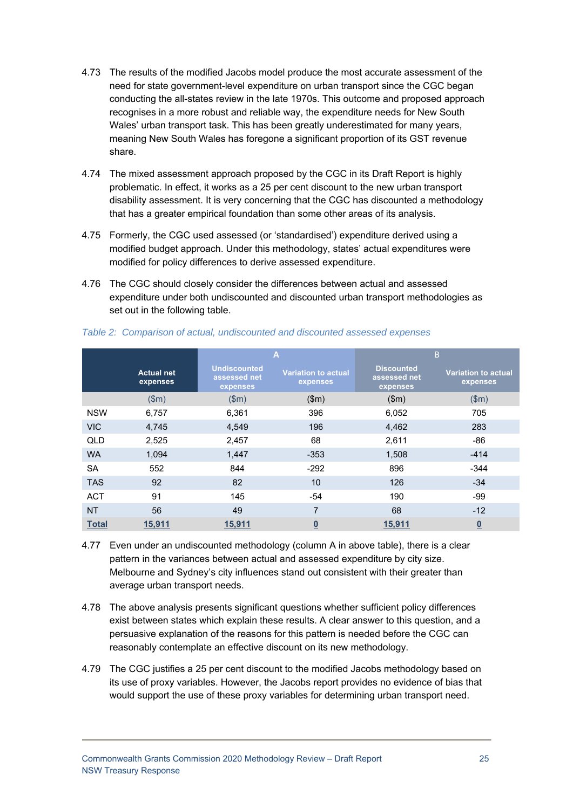- 4.73 The results of the modified Jacobs model produce the most accurate assessment of the need for state government-level expenditure on urban transport since the CGC began conducting the all-states review in the late 1970s. This outcome and proposed approach recognises in a more robust and reliable way, the expenditure needs for New South Wales' urban transport task. This has been greatly underestimated for many years, meaning New South Wales has foregone a significant proportion of its GST revenue share.
- 4.74 The mixed assessment approach proposed by the CGC in its Draft Report is highly problematic. In effect, it works as a 25 per cent discount to the new urban transport disability assessment. It is very concerning that the CGC has discounted a methodology that has a greater empirical foundation than some other areas of its analysis.
- 4.75 Formerly, the CGC used assessed (or 'standardised') expenditure derived using a modified budget approach. Under this methodology, states' actual expenditures were modified for policy differences to derive assessed expenditure.
- 4.76 The CGC should closely consider the differences between actual and assessed expenditure under both undiscounted and discounted urban transport methodologies as set out in the following table.

|              |                               | $\overline{A}$                                  |                                        |                                               | B                                      |
|--------------|-------------------------------|-------------------------------------------------|----------------------------------------|-----------------------------------------------|----------------------------------------|
|              | <b>Actual net</b><br>expenses | <b>Undiscounted</b><br>assessed net<br>expenses | <b>Variation to actual</b><br>expenses | <b>Discounted</b><br>assessed net<br>expenses | <b>Variation to actual</b><br>expenses |
|              | \$m\$                         | \$m\$                                           | \$m\$                                  | \$m\$                                         | \$m\$                                  |
| <b>NSW</b>   | 6,757                         | 6,361                                           | 396                                    | 6,052                                         | 705                                    |
| <b>VIC</b>   | 4,745                         | 4,549                                           | 196                                    | 4,462                                         | 283                                    |
| QLD          | 2,525                         | 2,457                                           | 68                                     | 2,611                                         | -86                                    |
| <b>WA</b>    | 1,094                         | 1,447                                           | $-353$                                 | 1,508                                         | $-414$                                 |
| <b>SA</b>    | 552                           | 844                                             | $-292$                                 | 896                                           | $-344$                                 |
| <b>TAS</b>   | 92                            | 82                                              | 10                                     | 126                                           | $-34$                                  |
| <b>ACT</b>   | 91                            | 145                                             | $-54$                                  | 190                                           | -99                                    |
| <b>NT</b>    | 56                            | 49                                              | $\overline{7}$                         | 68                                            | $-12$                                  |
| <b>Total</b> | <u>15,911</u>                 | 15,911                                          | $\underline{0}$                        | 15,911                                        | $\overline{\mathbf{0}}$                |

*Table 2: Comparison of actual, undiscounted and discounted assessed expenses* 

- 4.77 Even under an undiscounted methodology (column A in above table), there is a clear pattern in the variances between actual and assessed expenditure by city size. Melbourne and Sydney's city influences stand out consistent with their greater than average urban transport needs.
- 4.78 The above analysis presents significant questions whether sufficient policy differences exist between states which explain these results. A clear answer to this question, and a persuasive explanation of the reasons for this pattern is needed before the CGC can reasonably contemplate an effective discount on its new methodology.
- 4.79 The CGC justifies a 25 per cent discount to the modified Jacobs methodology based on its use of proxy variables. However, the Jacobs report provides no evidence of bias that would support the use of these proxy variables for determining urban transport need.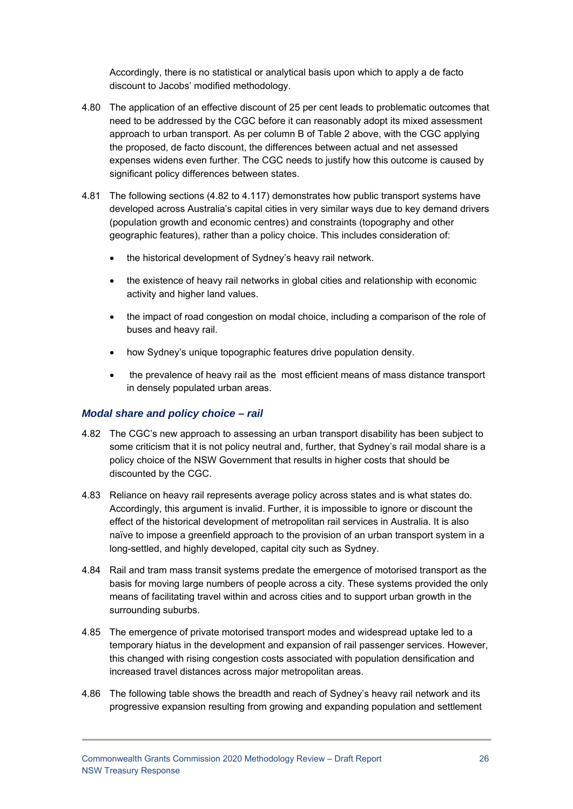Accordingly, there is no statistical or analytical basis upon which to apply a de facto discount to Jacobs' modified methodology.

- 4.80 The application of an effective discount of 25 per cent leads to problematic outcomes that need to be addressed by the CGC before it can reasonably adopt its mixed assessment approach to urban transport. As per column B of Table 2 above, with the CGC applying the proposed, de facto discount, the differences between actual and net assessed expenses widens even further. The CGC needs to justify how this outcome is caused by significant policy differences between states.
- 4.81 The following sections (4.82 to 4.117) demonstrates how public transport systems have developed across Australia's capital cities in very similar ways due to key demand drivers (population growth and economic centres) and constraints (topography and other geographic features), rather than a policy choice. This includes consideration of:
	- the historical development of Sydney's heavy rail network.
	- the existence of heavy rail networks in global cities and relationship with economic activity and higher land values.
	- the impact of road congestion on modal choice, including a comparison of the role of buses and heavy rail.
	- how Sydney's unique topographic features drive population density.
	- the prevalence of heavy rail as the most efficient means of mass distance transport in densely populated urban areas.

#### *Modal share and policy choice – rail*

- 4.82 The CGC's new approach to assessing an urban transport disability has been subject to some criticism that it is not policy neutral and, further, that Sydney's rail modal share is a policy choice of the NSW Government that results in higher costs that should be discounted by the CGC.
- 4.83 Reliance on heavy rail represents average policy across states and is what states do. Accordingly, this argument is invalid. Further, it is impossible to ignore or discount the effect of the historical development of metropolitan rail services in Australia. It is also naïve to impose a greenfield approach to the provision of an urban transport system in a long-settled, and highly developed, capital city such as Sydney.
- 4.84 Rail and tram mass transit systems predate the emergence of motorised transport as the basis for moving large numbers of people across a city. These systems provided the only means of facilitating travel within and across cities and to support urban growth in the surrounding suburbs.
- 4.85 The emergence of private motorised transport modes and widespread uptake led to a temporary hiatus in the development and expansion of rail passenger services. However, this changed with rising congestion costs associated with population densification and increased travel distances across major metropolitan areas.
- 4.86 The following table shows the breadth and reach of Sydney's heavy rail network and its progressive expansion resulting from growing and expanding population and settlement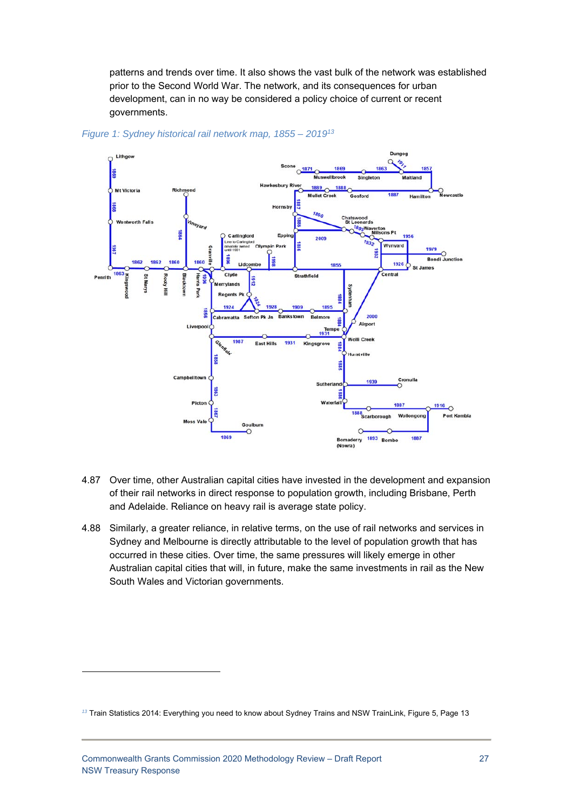patterns and trends over time. It also shows the vast bulk of the network was established prior to the Second World War. The network, and its consequences for urban development, can in no way be considered a policy choice of current or recent governments.



#### *Figure 1: Sydney historical rail network map, 1855 – 201913*

- 4.87 Over time, other Australian capital cities have invested in the development and expansion of their rail networks in direct response to population growth, including Brisbane, Perth and Adelaide. Reliance on heavy rail is average state policy.
- 4.88 Similarly, a greater reliance, in relative terms, on the use of rail networks and services in Sydney and Melbourne is directly attributable to the level of population growth that has occurred in these cities. Over time, the same pressures will likely emerge in other Australian capital cities that will, in future, make the same investments in rail as the New South Wales and Victorian governments.

*<sup>13</sup>* Train Statistics 2014: Everything you need to know about Sydney Trains and NSW TrainLink, Figure 5, Page 13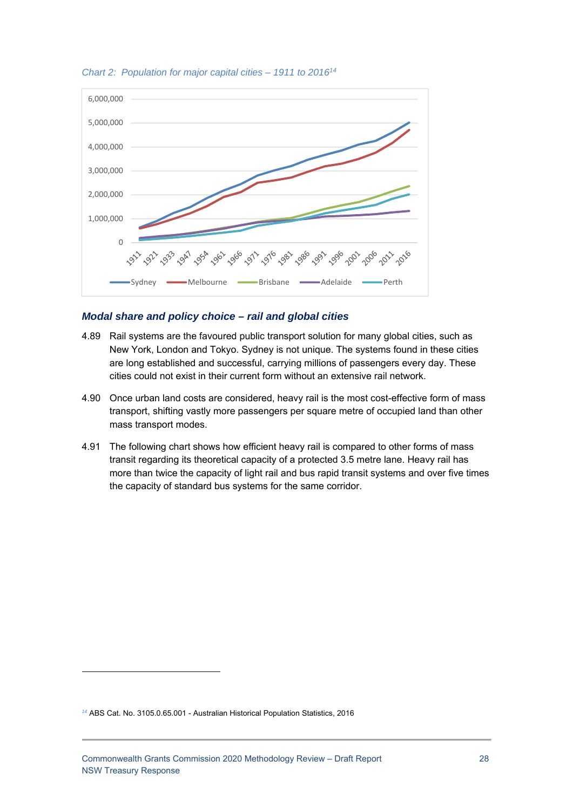

*Chart 2: Population for major capital cities – 1911 to 201614*

#### *Modal share and policy choice – rail and global cities*

- 4.89 Rail systems are the favoured public transport solution for many global cities, such as New York, London and Tokyo. Sydney is not unique. The systems found in these cities are long established and successful, carrying millions of passengers every day. These cities could not exist in their current form without an extensive rail network.
- 4.90 Once urban land costs are considered, heavy rail is the most cost-effective form of mass transport, shifting vastly more passengers per square metre of occupied land than other mass transport modes.
- 4.91 The following chart shows how efficient heavy rail is compared to other forms of mass transit regarding its theoretical capacity of a protected 3.5 metre lane. Heavy rail has more than twice the capacity of light rail and bus rapid transit systems and over five times the capacity of standard bus systems for the same corridor.

*<sup>14</sup>* ABS Cat. No. 3105.0.65.001 - Australian Historical Population Statistics, 2016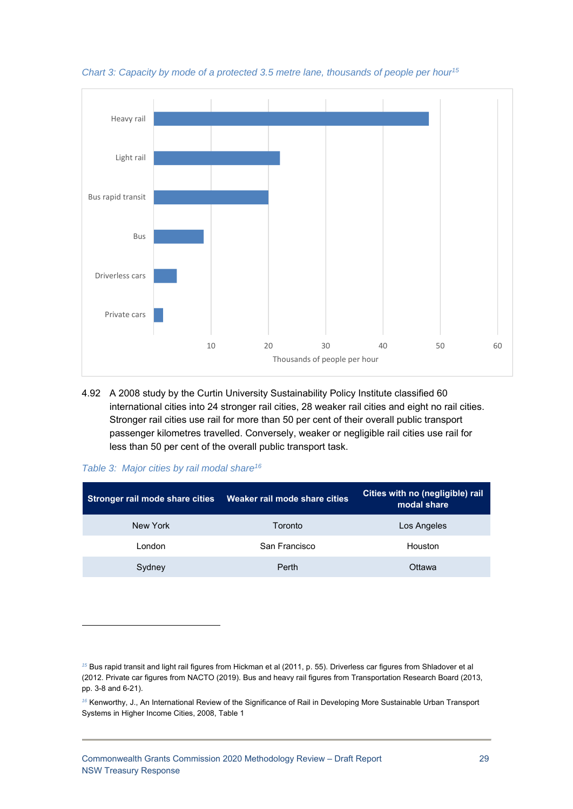

*Chart 3: Capacity by mode of a protected 3.5 metre lane, thousands of people per hour15*

4.92 A 2008 study by the Curtin University Sustainability Policy Institute classified 60 international cities into 24 stronger rail cities, 28 weaker rail cities and eight no rail cities. Stronger rail cities use rail for more than 50 per cent of their overall public transport passenger kilometres travelled. Conversely, weaker or negligible rail cities use rail for less than 50 per cent of the overall public transport task.

| Stronger rail mode share cities | Weaker rail mode share cities | Cities with no (negligible) rail<br>modal share |  |
|---------------------------------|-------------------------------|-------------------------------------------------|--|
| New York                        | Toronto                       | Los Angeles                                     |  |
| London                          | San Francisco                 | Houston                                         |  |
| Sydney                          | Perth                         | Ottawa                                          |  |

-

*<sup>15</sup>* Bus rapid transit and light rail figures from Hickman et al (2011, p. 55). Driverless car figures from Shladover et al (2012. Private car figures from NACTO (2019). Bus and heavy rail figures from Transportation Research Board (2013, pp. 3-8 and 6-21).

*<sup>16</sup>* Kenworthy, J., An International Review of the Significance of Rail in Developing More Sustainable Urban Transport Systems in Higher Income Cities, 2008, Table 1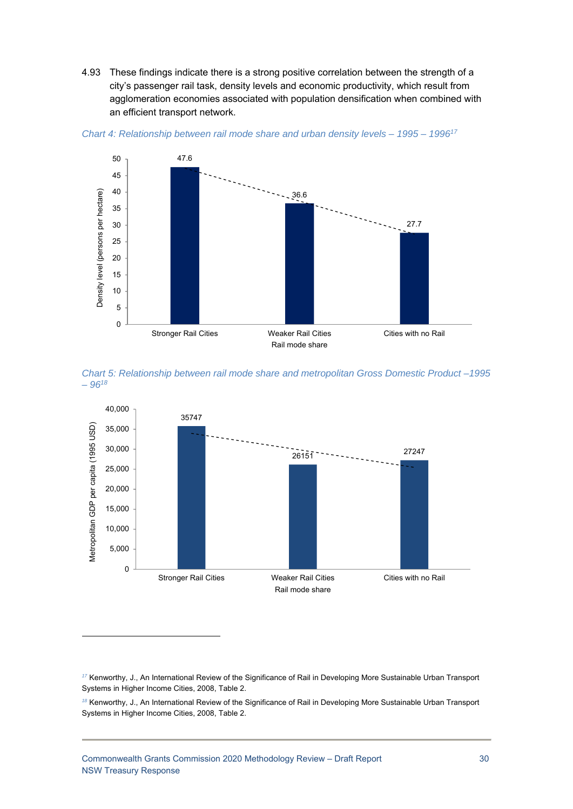4.93 These findings indicate there is a strong positive correlation between the strength of a city's passenger rail task, density levels and economic productivity, which result from agglomeration economies associated with population densification when combined with an efficient transport network.





*Chart 5: Relationship between rail mode share and metropolitan Gross Domestic Product –1995 – 9618*



*<sup>18</sup>* Kenworthy, J., An International Review of the Significance of Rail in Developing More Sustainable Urban Transport Systems in Higher Income Cities, 2008, Table 2.

*<sup>17</sup>* Kenworthy, J., An International Review of the Significance of Rail in Developing More Sustainable Urban Transport Systems in Higher Income Cities, 2008, Table 2.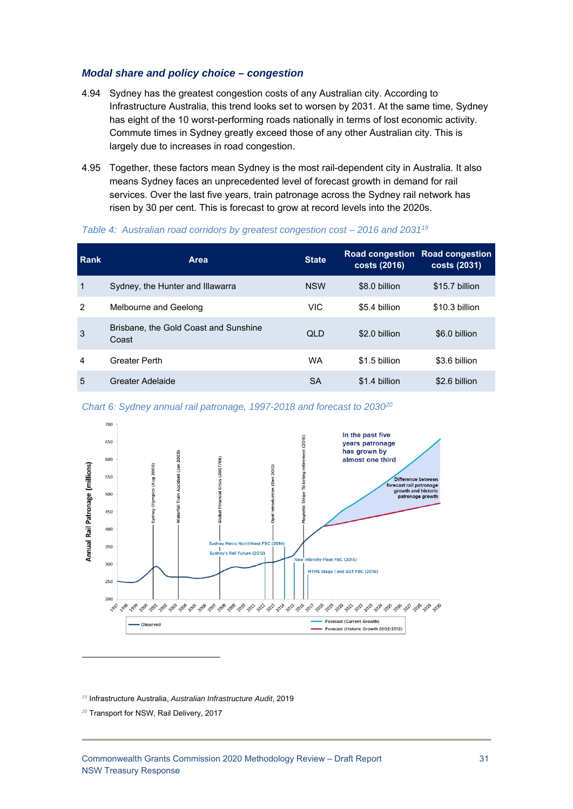#### *Modal share and policy choice – congestion*

- 4.94 Sydney has the greatest congestion costs of any Australian city. According to Infrastructure Australia, this trend looks set to worsen by 2031. At the same time, Sydney has eight of the 10 worst-performing roads nationally in terms of lost economic activity. Commute times in Sydney greatly exceed those of any other Australian city. This is largely due to increases in road congestion.
- 4.95 Together, these factors mean Sydney is the most rail-dependent city in Australia. It also means Sydney faces an unprecedented level of forecast growth in demand for rail services. Over the last five years, train patronage across the Sydney rail network has risen by 30 per cent. This is forecast to grow at record levels into the 2020s.

#### *Table 4: Australian road corridors by greatest congestion cost – 2016 and 203119*

| Rank | <b>Area</b>                                    | <b>State</b> | costs (2016)  | Road congestion Road congestion<br>costs (2031) |
|------|------------------------------------------------|--------------|---------------|-------------------------------------------------|
| 1    | Sydney, the Hunter and Illawarra               | <b>NSW</b>   | \$8.0 billion | \$15.7 billion                                  |
| 2    | Melbourne and Geelong                          | <b>VIC</b>   | \$5.4 billion | \$10.3 billion                                  |
| 3    | Brisbane, the Gold Coast and Sunshine<br>Coast | <b>QLD</b>   | \$2.0 billion | \$6.0 billion                                   |
| 4    | <b>Greater Perth</b>                           | <b>WA</b>    | \$1.5 billion | \$3.6 billion                                   |
| 5    | Greater Adelaide                               | SA           | \$1.4 billion | \$2.6 billion                                   |

*Chart 6: Sydney annual rail patronage, 1997-2018 and forecast to 203020*



*<sup>19</sup>* Infrastructure Australia, *Australian Infrastructure Audit*, 2019

*20* Transport for NSW, Rail Delivery, 2017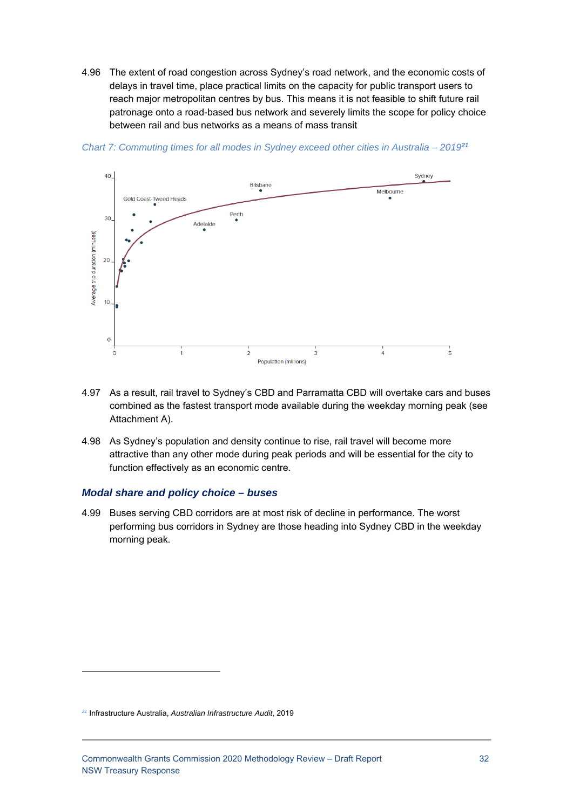4.96 The extent of road congestion across Sydney's road network, and the economic costs of delays in travel time, place practical limits on the capacity for public transport users to reach major metropolitan centres by bus. This means it is not feasible to shift future rail patronage onto a road-based bus network and severely limits the scope for policy choice between rail and bus networks as a means of mass transit



*Chart 7: Commuting times for all modes in Sydney exceed other cities in Australia – 2019<sup>21</sup>*

- 4.97 As a result, rail travel to Sydney's CBD and Parramatta CBD will overtake cars and buses combined as the fastest transport mode available during the weekday morning peak (see Attachment A).
- 4.98 As Sydney's population and density continue to rise, rail travel will become more attractive than any other mode during peak periods and will be essential for the city to function effectively as an economic centre.

#### *Modal share and policy choice – buses*

4.99 Buses serving CBD corridors are at most risk of decline in performance. The worst performing bus corridors in Sydney are those heading into Sydney CBD in the weekday morning peak.

*<sup>21</sup>* Infrastructure Australia, *Australian Infrastructure Audit*, 2019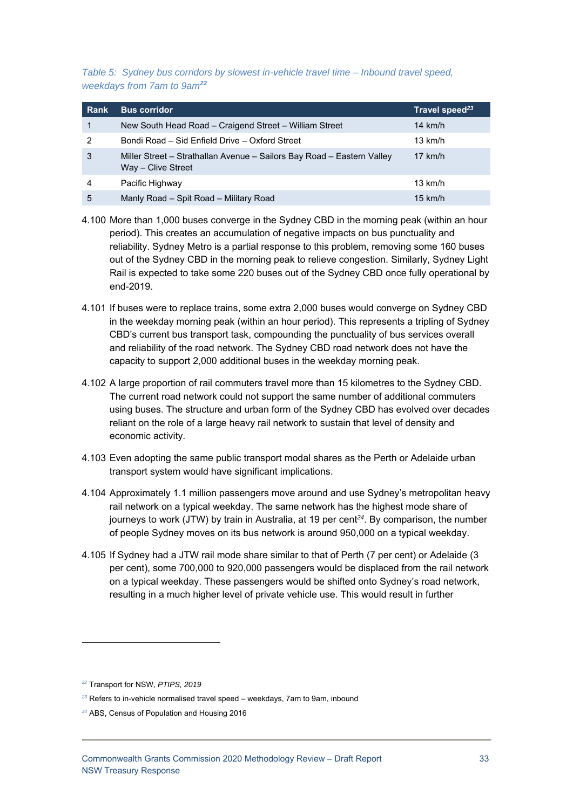*Table 5: Sydney bus corridors by slowest in-vehicle travel time – Inbound travel speed, weekdays from 7am to 9am<sup>22</sup>*

| <b>Rank</b> | <b>Bus corridor</b>                                                                          | Travel speed <sup>23</sup> |
|-------------|----------------------------------------------------------------------------------------------|----------------------------|
| 1           | New South Head Road – Craigend Street – William Street                                       | 14 km/h                    |
| 2           | Bondi Road - Sid Enfield Drive - Oxford Street                                               | $13 \text{ km/h}$          |
| 3           | Miller Street – Strathallan Avenue – Sailors Bay Road – Eastern Valley<br>Way - Clive Street | $17$ km/h                  |
| 4           | Pacific Highway                                                                              | $13 \text{ km/h}$          |
| 5           | Manly Road - Spit Road - Military Road                                                       | $15$ km/h                  |

- 4.100 More than 1,000 buses converge in the Sydney CBD in the morning peak (within an hour period). This creates an accumulation of negative impacts on bus punctuality and reliability. Sydney Metro is a partial response to this problem, removing some 160 buses out of the Sydney CBD in the morning peak to relieve congestion. Similarly, Sydney Light Rail is expected to take some 220 buses out of the Sydney CBD once fully operational by end-2019.
- 4.101 If buses were to replace trains, some extra 2,000 buses would converge on Sydney CBD in the weekday morning peak (within an hour period). This represents a tripling of Sydney CBD's current bus transport task, compounding the punctuality of bus services overall and reliability of the road network. The Sydney CBD road network does not have the capacity to support 2,000 additional buses in the weekday morning peak.
- 4.102 A large proportion of rail commuters travel more than 15 kilometres to the Sydney CBD. The current road network could not support the same number of additional commuters using buses. The structure and urban form of the Sydney CBD has evolved over decades reliant on the role of a large heavy rail network to sustain that level of density and economic activity.
- 4.103 Even adopting the same public transport modal shares as the Perth or Adelaide urban transport system would have significant implications.
- 4.104 Approximately 1.1 million passengers move around and use Sydney's metropolitan heavy rail network on a typical weekday. The same network has the highest mode share of journeys to work (JTW) by train in Australia, at 19 per cent*<sup>24</sup>*. By comparison, the number of people Sydney moves on its bus network is around 950,000 on a typical weekday.
- 4.105 If Sydney had a JTW rail mode share similar to that of Perth (7 per cent) or Adelaide (3 per cent), some 700,000 to 920,000 passengers would be displaced from the rail network on a typical weekday. These passengers would be shifted onto Sydney's road network, resulting in a much higher level of private vehicle use. This would result in further

-

*<sup>22</sup>* Transport for NSW, *PTIPS, 2019*

*<sup>23</sup>* Refers to in-vehicle normalised travel speed – weekdays, 7am to 9am, inbound

*<sup>24</sup>* ABS, Census of Population and Housing 2016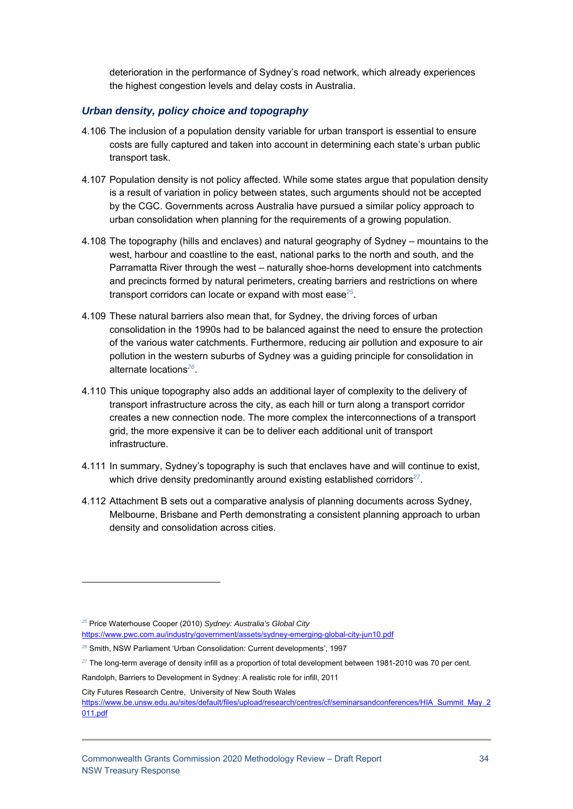deterioration in the performance of Sydney's road network, which already experiences the highest congestion levels and delay costs in Australia.

#### *Urban density, policy choice and topography*

- 4.106 The inclusion of a population density variable for urban transport is essential to ensure costs are fully captured and taken into account in determining each state's urban public transport task.
- 4.107 Population density is not policy affected. While some states argue that population density is a result of variation in policy between states, such arguments should not be accepted by the CGC. Governments across Australia have pursued a similar policy approach to urban consolidation when planning for the requirements of a growing population.
- 4.108 The topography (hills and enclaves) and natural geography of Sydney mountains to the west, harbour and coastline to the east, national parks to the north and south, and the Parramatta River through the west – naturally shoe-horns development into catchments and precincts formed by natural perimeters, creating barriers and restrictions on where transport corridors can locate or expand with most ease*<sup>25</sup>*.
- 4.109 These natural barriers also mean that, for Sydney, the driving forces of urban consolidation in the 1990s had to be balanced against the need to ensure the protection of the various water catchments. Furthermore, reducing air pollution and exposure to air pollution in the western suburbs of Sydney was a guiding principle for consolidation in alternate locations*<sup>26</sup>*.
- 4.110 This unique topography also adds an additional layer of complexity to the delivery of transport infrastructure across the city, as each hill or turn along a transport corridor creates a new connection node. The more complex the interconnections of a transport grid, the more expensive it can be to deliver each additional unit of transport infrastructure.
- 4.111 In summary, Sydney's topography is such that enclaves have and will continue to exist, which drive density predominantly around existing established corridors<sup>27</sup>.
- 4.112 Attachment B sets out a comparative analysis of planning documents across Sydney, Melbourne, Brisbane and Perth demonstrating a consistent planning approach to urban density and consolidation across cities.

City Futures Research Centre, University of New South Wales

*<sup>25</sup>* Price Waterhouse Cooper (2010) *Sydney: Australia's Global City* 

https://www.pwc.com.au/industry/government/assets/sydney-emerging-global-city-jun10.pdf

*<sup>26</sup>* Smith, NSW Parliament 'Urban Consolidation: Current developments', 1997

*<sup>27</sup>* The long-term average of density infill as a proportion of total development between 1981-2010 was 70 per cent.

Randolph, Barriers to Development in Sydney: A realistic role for infill, 2011

https://www.be.unsw.edu.au/sites/default/files/upload/research/centres/cf/seminarsandconferences/HIA\_Summit\_May\_2 011.pdf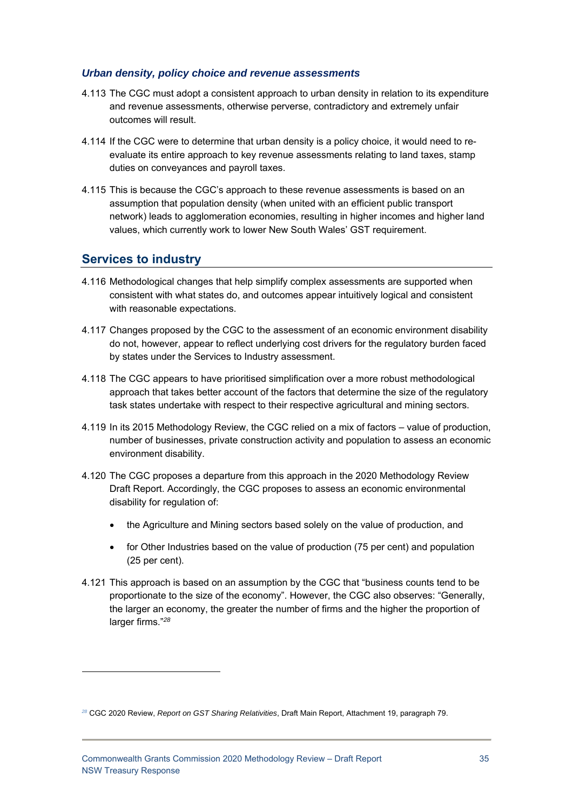#### *Urban density, policy choice and revenue assessments*

- 4.113 The CGC must adopt a consistent approach to urban density in relation to its expenditure and revenue assessments, otherwise perverse, contradictory and extremely unfair outcomes will result.
- 4.114 If the CGC were to determine that urban density is a policy choice, it would need to reevaluate its entire approach to key revenue assessments relating to land taxes, stamp duties on conveyances and payroll taxes.
- 4.115 This is because the CGC's approach to these revenue assessments is based on an assumption that population density (when united with an efficient public transport network) leads to agglomeration economies, resulting in higher incomes and higher land values, which currently work to lower New South Wales' GST requirement.

# **Services to industry**

- 4.116 Methodological changes that help simplify complex assessments are supported when consistent with what states do, and outcomes appear intuitively logical and consistent with reasonable expectations.
- 4.117 Changes proposed by the CGC to the assessment of an economic environment disability do not, however, appear to reflect underlying cost drivers for the regulatory burden faced by states under the Services to Industry assessment.
- 4.118 The CGC appears to have prioritised simplification over a more robust methodological approach that takes better account of the factors that determine the size of the regulatory task states undertake with respect to their respective agricultural and mining sectors.
- 4.119 In its 2015 Methodology Review, the CGC relied on a mix of factors value of production, number of businesses, private construction activity and population to assess an economic environment disability.
- 4.120 The CGC proposes a departure from this approach in the 2020 Methodology Review Draft Report. Accordingly, the CGC proposes to assess an economic environmental disability for regulation of:
	- the Agriculture and Mining sectors based solely on the value of production, and
	- for Other Industries based on the value of production (75 per cent) and population (25 per cent).
- 4.121 This approach is based on an assumption by the CGC that "business counts tend to be proportionate to the size of the economy". However, the CGC also observes: "Generally, the larger an economy, the greater the number of firms and the higher the proportion of larger firms."<sup>28</sup>

*<sup>28</sup>* CGC 2020 Review, *Report on GST Sharing Relativities*, Draft Main Report, Attachment 19, paragraph 79.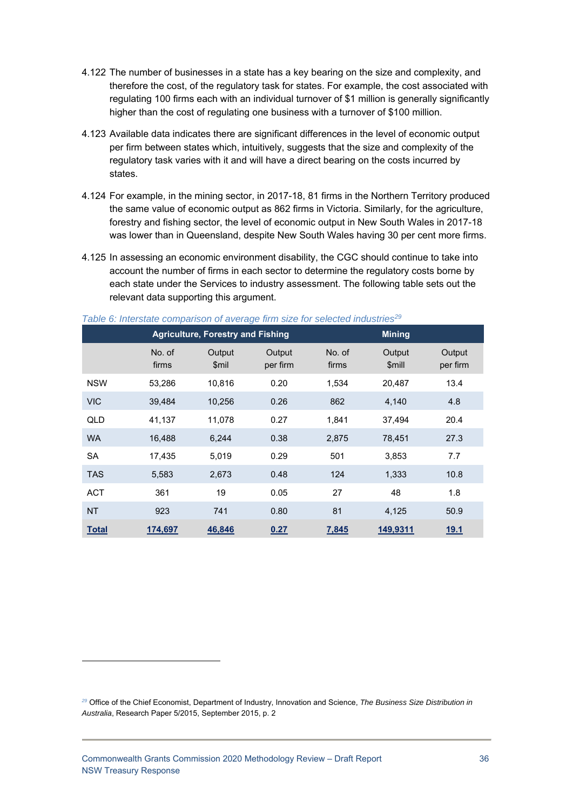- 4.122 The number of businesses in a state has a key bearing on the size and complexity, and therefore the cost, of the regulatory task for states. For example, the cost associated with regulating 100 firms each with an individual turnover of \$1 million is generally significantly higher than the cost of regulating one business with a turnover of \$100 million.
- 4.123 Available data indicates there are significant differences in the level of economic output per firm between states which, intuitively, suggests that the size and complexity of the regulatory task varies with it and will have a direct bearing on the costs incurred by states.
- 4.124 For example, in the mining sector, in 2017-18, 81 firms in the Northern Territory produced the same value of economic output as 862 firms in Victoria. Similarly, for the agriculture, forestry and fishing sector, the level of economic output in New South Wales in 2017-18 was lower than in Queensland, despite New South Wales having 30 per cent more firms.
- 4.125 In assessing an economic environment disability, the CGC should continue to take into account the number of firms in each sector to determine the regulatory costs borne by each state under the Services to industry assessment. The following table sets out the relevant data supporting this argument.

|              | <b>Agriculture, Forestry and Fishing</b> |                 |                    |                 | <b>Mining</b>    |                    |  |
|--------------|------------------------------------------|-----------------|--------------------|-----------------|------------------|--------------------|--|
|              | No. of<br>firms                          | Output<br>\$mil | Output<br>per firm | No. of<br>firms | Output<br>\$mill | Output<br>per firm |  |
| <b>NSW</b>   | 53,286                                   | 10,816          | 0.20               | 1,534           | 20,487           | 13.4               |  |
| <b>VIC</b>   | 39,484                                   | 10,256          | 0.26               | 862             | 4,140            | 4.8                |  |
| QLD          | 41,137                                   | 11,078          | 0.27               | 1,841           | 37,494           | 20.4               |  |
| <b>WA</b>    | 16,488                                   | 6,244           | 0.38               | 2,875           | 78,451           | 27.3               |  |
| <b>SA</b>    | 17,435                                   | 5,019           | 0.29               | 501             | 3,853            | 7.7                |  |
| <b>TAS</b>   | 5,583                                    | 2,673           | 0.48               | 124             | 1,333            | 10.8               |  |
| <b>ACT</b>   | 361                                      | 19              | 0.05               | 27              | 48               | 1.8                |  |
| <b>NT</b>    | 923                                      | 741             | 0.80               | 81              | 4,125            | 50.9               |  |
| <b>Total</b> | 174,697                                  | 46,846          | 0.27               | 7,845           | 149,9311         | 19.1               |  |

*Table 6: Interstate comparison of average firm size for selected industries29*

-

*<sup>29</sup>* Office of the Chief Economist, Department of Industry, Innovation and Science, *The Business Size Distribution in Australia*, Research Paper 5/2015, September 2015, p. 2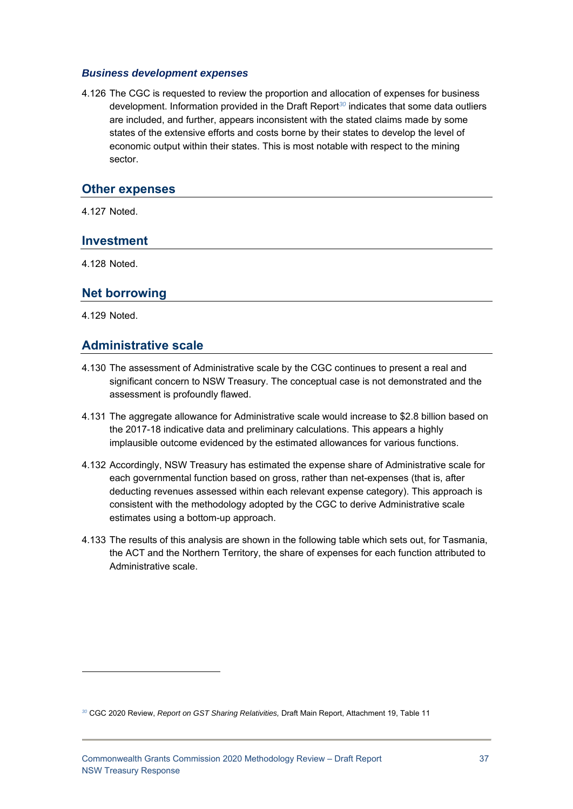#### *Business development expenses*

4.126 The CGC is requested to review the proportion and allocation of expenses for business development. Information provided in the Draft Report*<sup>30</sup>* indicates that some data outliers are included, and further, appears inconsistent with the stated claims made by some states of the extensive efforts and costs borne by their states to develop the level of economic output within their states. This is most notable with respect to the mining sector.

#### **Other expenses**

4.127 Noted.

#### **Investment**

4.128 Noted.

#### **Net borrowing**

4.129 Noted.

1

### **Administrative scale**

- 4.130 The assessment of Administrative scale by the CGC continues to present a real and significant concern to NSW Treasury. The conceptual case is not demonstrated and the assessment is profoundly flawed.
- 4.131 The aggregate allowance for Administrative scale would increase to \$2.8 billion based on the 2017-18 indicative data and preliminary calculations. This appears a highly implausible outcome evidenced by the estimated allowances for various functions.
- 4.132 Accordingly, NSW Treasury has estimated the expense share of Administrative scale for each governmental function based on gross, rather than net-expenses (that is, after deducting revenues assessed within each relevant expense category). This approach is consistent with the methodology adopted by the CGC to derive Administrative scale estimates using a bottom-up approach.
- 4.133 The results of this analysis are shown in the following table which sets out, for Tasmania, the ACT and the Northern Territory, the share of expenses for each function attributed to Administrative scale.

*<sup>30</sup>* CGC 2020 Review, *Report on GST Sharing Relativities,* Draft Main Report, Attachment 19, Table 11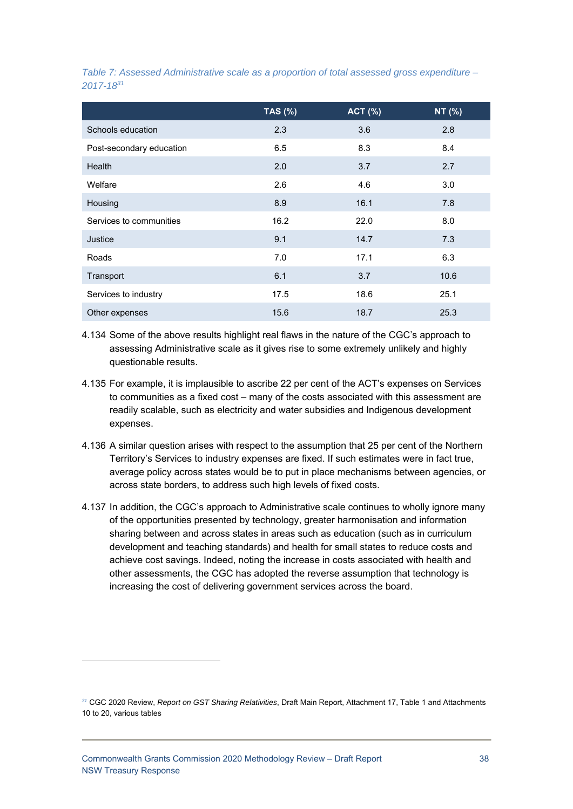|                          | <b>TAS (%)</b> | <b>ACT (%)</b> | NT (%) |
|--------------------------|----------------|----------------|--------|
| Schools education        | 2.3            | 3.6            | 2.8    |
| Post-secondary education | 6.5            | 8.3            | 8.4    |
| <b>Health</b>            | 2.0            | 3.7            | 2.7    |
| Welfare                  | 2.6            | 4.6            | 3.0    |
| Housing                  | 8.9            | 16.1           | 7.8    |
| Services to communities  | 16.2           | 22.0           | 8.0    |
| Justice                  | 9.1            | 14.7           | 7.3    |
| Roads                    | 7.0            | 17.1           | 6.3    |
| Transport                | 6.1            | 3.7            | 10.6   |
| Services to industry     | 17.5           | 18.6           | 25.1   |
| Other expenses           | 15.6           | 18.7           | 25.3   |

*Table 7: Assessed Administrative scale as a proportion of total assessed gross expenditure – 2017-1831*

4.134 Some of the above results highlight real flaws in the nature of the CGC's approach to assessing Administrative scale as it gives rise to some extremely unlikely and highly questionable results.

- 4.135 For example, it is implausible to ascribe 22 per cent of the ACT's expenses on Services to communities as a fixed cost – many of the costs associated with this assessment are readily scalable, such as electricity and water subsidies and Indigenous development expenses.
- 4.136 A similar question arises with respect to the assumption that 25 per cent of the Northern Territory's Services to industry expenses are fixed. If such estimates were in fact true, average policy across states would be to put in place mechanisms between agencies, or across state borders, to address such high levels of fixed costs.
- 4.137 In addition, the CGC's approach to Administrative scale continues to wholly ignore many of the opportunities presented by technology, greater harmonisation and information sharing between and across states in areas such as education (such as in curriculum development and teaching standards) and health for small states to reduce costs and achieve cost savings. Indeed, noting the increase in costs associated with health and other assessments, the CGC has adopted the reverse assumption that technology is increasing the cost of delivering government services across the board.

-

*<sup>31</sup>* CGC 2020 Review, *Report on GST Sharing Relativities*, Draft Main Report, Attachment 17, Table 1 and Attachments 10 to 20, various tables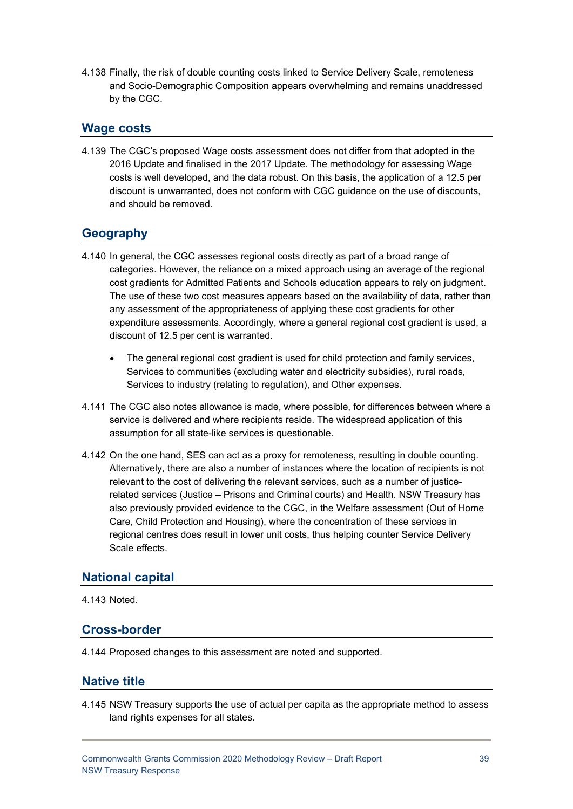4.138 Finally, the risk of double counting costs linked to Service Delivery Scale, remoteness and Socio-Demographic Composition appears overwhelming and remains unaddressed by the CGC.

# **Wage costs**

4.139 The CGC's proposed Wage costs assessment does not differ from that adopted in the 2016 Update and finalised in the 2017 Update. The methodology for assessing Wage costs is well developed, and the data robust. On this basis, the application of a 12.5 per discount is unwarranted, does not conform with CGC guidance on the use of discounts, and should be removed.

# **Geography**

- 4.140 In general, the CGC assesses regional costs directly as part of a broad range of categories. However, the reliance on a mixed approach using an average of the regional cost gradients for Admitted Patients and Schools education appears to rely on judgment. The use of these two cost measures appears based on the availability of data, rather than any assessment of the appropriateness of applying these cost gradients for other expenditure assessments. Accordingly, where a general regional cost gradient is used, a discount of 12.5 per cent is warranted.
	- The general regional cost gradient is used for child protection and family services, Services to communities (excluding water and electricity subsidies), rural roads, Services to industry (relating to regulation), and Other expenses.
- 4.141 The CGC also notes allowance is made, where possible, for differences between where a service is delivered and where recipients reside. The widespread application of this assumption for all state-like services is questionable.
- 4.142 On the one hand, SES can act as a proxy for remoteness, resulting in double counting. Alternatively, there are also a number of instances where the location of recipients is not relevant to the cost of delivering the relevant services, such as a number of justicerelated services (Justice – Prisons and Criminal courts) and Health. NSW Treasury has also previously provided evidence to the CGC, in the Welfare assessment (Out of Home Care, Child Protection and Housing), where the concentration of these services in regional centres does result in lower unit costs, thus helping counter Service Delivery Scale effects.

### **National capital**

#### 4.143 Noted.

# **Cross-border**

4.144 Proposed changes to this assessment are noted and supported.

### **Native title**

4.145 NSW Treasury supports the use of actual per capita as the appropriate method to assess land rights expenses for all states.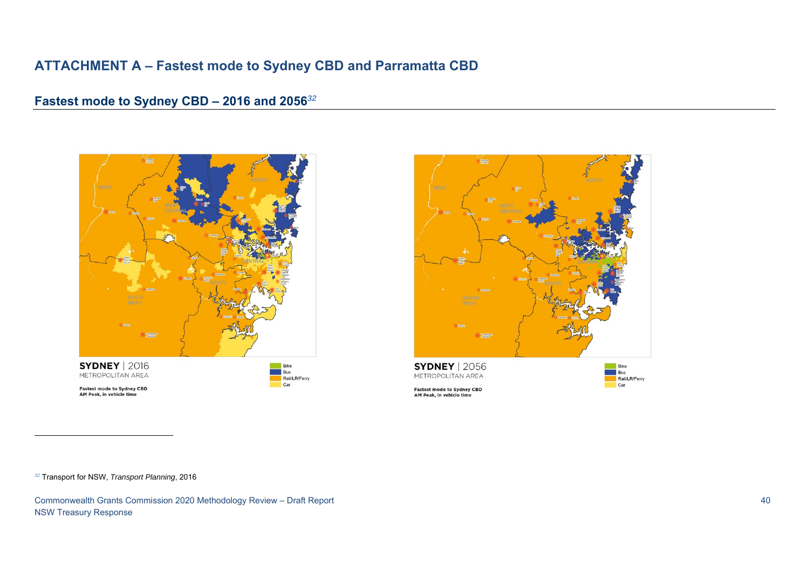# **ATTACHMENT A – Fastest mode to Sydney CBD and Parramatta CBD**

# **Fastest mode to Sydney CBD – 2016 and 2056***<sup>32</sup>*





**Fastest mode to Sydney CBD** 



AM Peak, in vehicle time

*<sup>32</sup>* Transport for NSW, *Transport Planning*, 2016

Commonwealth Grants Commission 2020 Methodology Review – Draft Report 40 NSW Treasury Response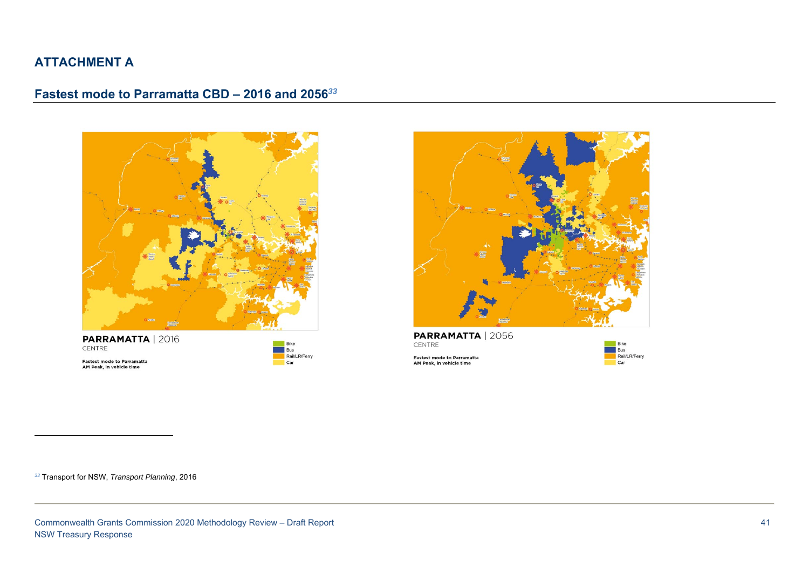# **ATTACHMENT A**

# **Fastest mode to Parramatta CBD – 2016 and 2056***<sup>33</sup>*



PARRAMATTA | 2016 CENTRE

Fastest mode to Parramatta<br>AM Peak, in vehicle time

Bike Bus Rail/LR/Ferry Car



**PARRAMATTA | 2056** CENTRE

Fastest mode to Parramatta<br>AM Peak, in vehicle time



*<sup>33</sup>* Transport for NSW, *Transport Planning*, 2016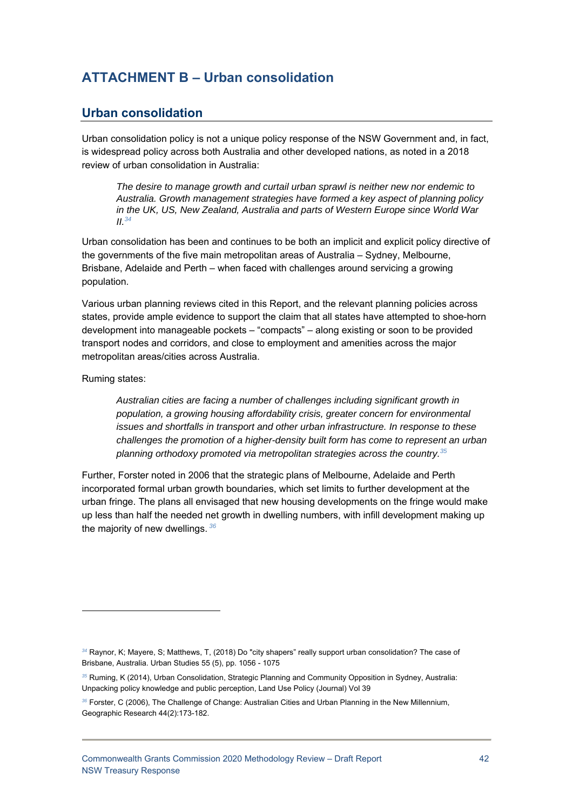# **ATTACHMENT B – Urban consolidation**

# **Urban consolidation**

Urban consolidation policy is not a unique policy response of the NSW Government and, in fact, is widespread policy across both Australia and other developed nations, as noted in a 2018 review of urban consolidation in Australia:

*The desire to manage growth and curtail urban sprawl is neither new nor endemic to Australia. Growth management strategies have formed a key aspect of planning policy in the UK, US, New Zealand, Australia and parts of Western Europe since World War II.34*

Urban consolidation has been and continues to be both an implicit and explicit policy directive of the governments of the five main metropolitan areas of Australia – Sydney, Melbourne, Brisbane, Adelaide and Perth – when faced with challenges around servicing a growing population.

Various urban planning reviews cited in this Report, and the relevant planning policies across states, provide ample evidence to support the claim that all states have attempted to shoe-horn development into manageable pockets – "compacts" – along existing or soon to be provided transport nodes and corridors, and close to employment and amenities across the major metropolitan areas/cities across Australia.

Ruming states:

1

*Australian cities are facing a number of challenges including significant growth in population, a growing housing affordability crisis, greater concern for environmental issues and shortfalls in transport and other urban infrastructure. In response to these challenges the promotion of a higher-density built form has come to represent an urban planning orthodoxy promoted via metropolitan strategies across the country.35*

Further, Forster noted in 2006 that the strategic plans of Melbourne, Adelaide and Perth incorporated formal urban growth boundaries, which set limits to further development at the urban fringe. The plans all envisaged that new housing developments on the fringe would make up less than half the needed net growth in dwelling numbers, with infill development making up the majority of new dwellings.*<sup>36</sup>*

*<sup>34</sup>* Raynor, K; Mayere, S; Matthews, T, (2018) Do "city shapers" really support urban consolidation? The case of Brisbane, Australia. Urban Studies 55 (5), pp. 1056 - 1075

*<sup>35</sup>* Ruming, K (2014), Urban Consolidation, Strategic Planning and Community Opposition in Sydney, Australia: Unpacking policy knowledge and public perception, Land Use Policy (Journal) Vol 39

*<sup>36</sup>* Forster, C (2006), The Challenge of Change: Australian Cities and Urban Planning in the New Millennium, Geographic Research 44(2):173-182.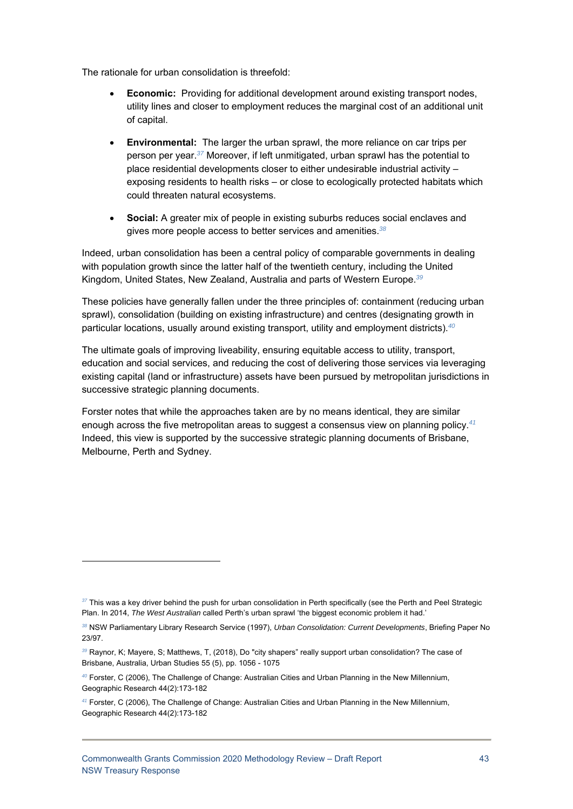The rationale for urban consolidation is threefold:

- **Economic:** Providing for additional development around existing transport nodes, utility lines and closer to employment reduces the marginal cost of an additional unit of capital.
- **Environmental:** The larger the urban sprawl, the more reliance on car trips per person per year.*<sup>37</sup>* Moreover, if left unmitigated, urban sprawl has the potential to place residential developments closer to either undesirable industrial activity – exposing residents to health risks – or close to ecologically protected habitats which could threaten natural ecosystems.
- **Social:** A greater mix of people in existing suburbs reduces social enclaves and gives more people access to better services and amenities.*<sup>38</sup>*

Indeed, urban consolidation has been a central policy of comparable governments in dealing with population growth since the latter half of the twentieth century, including the United Kingdom, United States, New Zealand, Australia and parts of Western Europe.*<sup>39</sup>*

These policies have generally fallen under the three principles of: containment (reducing urban sprawl), consolidation (building on existing infrastructure) and centres (designating growth in particular locations, usually around existing transport, utility and employment districts).*<sup>40</sup>*

The ultimate goals of improving liveability, ensuring equitable access to utility, transport, education and social services, and reducing the cost of delivering those services via leveraging existing capital (land or infrastructure) assets have been pursued by metropolitan jurisdictions in successive strategic planning documents.

Forster notes that while the approaches taken are by no means identical, they are similar enough across the five metropolitan areas to suggest a consensus view on planning policy.*<sup>41</sup>* Indeed, this view is supported by the successive strategic planning documents of Brisbane, Melbourne, Perth and Sydney.

*<sup>37</sup>* This was a key driver behind the push for urban consolidation in Perth specifically (see the Perth and Peel Strategic Plan. In 2014, *The West Australian* called Perth's urban sprawl 'the biggest economic problem it had.'

*<sup>38</sup>* NSW Parliamentary Library Research Service (1997), *Urban Consolidation: Current Developments*, Briefing Paper No 23/97.

*<sup>39</sup>* Raynor, K; Mayere, S; Matthews, T, (2018), Do "city shapers" really support urban consolidation? The case of Brisbane, Australia, Urban Studies 55 (5), pp. 1056 - 1075

*<sup>40</sup>* Forster, C (2006), The Challenge of Change: Australian Cities and Urban Planning in the New Millennium, Geographic Research 44(2):173-182

*<sup>41</sup>* Forster, C (2006), The Challenge of Change: Australian Cities and Urban Planning in the New Millennium, Geographic Research 44(2):173-182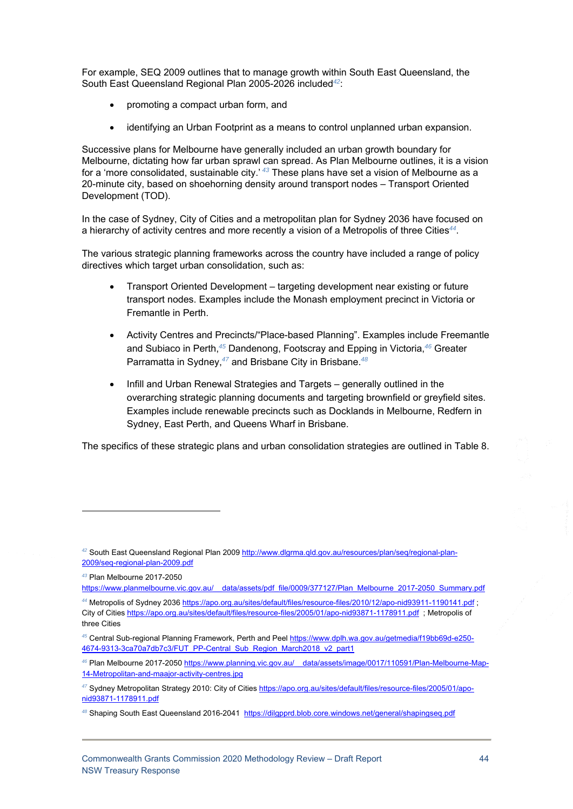For example, SEQ 2009 outlines that to manage growth within South East Queensland, the South East Queensland Regional Plan 2005-2026 included*<sup>42</sup>*:

- promoting a compact urban form, and
- identifying an Urban Footprint as a means to control unplanned urban expansion.

Successive plans for Melbourne have generally included an urban growth boundary for Melbourne, dictating how far urban sprawl can spread. As Plan Melbourne outlines, it is a vision for a 'more consolidated, sustainable city.'*<sup>43</sup>* These plans have set a vision of Melbourne as a 20-minute city, based on shoehorning density around transport nodes – Transport Oriented Development (TOD).

In the case of Sydney, City of Cities and a metropolitan plan for Sydney 2036 have focused on a hierarchy of activity centres and more recently a vision of a Metropolis of three Cities*<sup>44</sup>*.

The various strategic planning frameworks across the country have included a range of policy directives which target urban consolidation, such as:

- Transport Oriented Development targeting development near existing or future transport nodes. Examples include the Monash employment precinct in Victoria or Fremantle in Perth.
- Activity Centres and Precincts/"Place-based Planning". Examples include Freemantle and Subiaco in Perth,*<sup>45</sup>* Dandenong, Footscray and Epping in Victoria,*<sup>46</sup>* Greater Parramatta in Sydney,*<sup>47</sup>* and Brisbane City in Brisbane.*<sup>48</sup>*
- Infill and Urban Renewal Strategies and Targets generally outlined in the overarching strategic planning documents and targeting brownfield or greyfield sites. Examples include renewable precincts such as Docklands in Melbourne, Redfern in Sydney, East Perth, and Queens Wharf in Brisbane.

The specifics of these strategic plans and urban consolidation strategies are outlined in Table 8.

*<sup>42</sup>* South East Queensland Regional Plan 2009 http://www.dlgrma.qld.gov.au/resources/plan/seq/regional-plan-2009/seq-regional-plan-2009.pdf

*<sup>43</sup>* Plan Melbourne 2017-2050

https://www.planmelbourne.vic.gov.au/\_\_data/assets/pdf\_file/0009/377127/Plan\_Melbourne\_2017-2050\_Summary.pdf *<sup>44</sup>* Metropolis of Sydney 2036 https://apo.org.au/sites/default/files/resource-files/2010/12/apo-nid93911-1190141.pdf ;

City of Cities https://apo.org.au/sites/default/files/resource-files/2005/01/apo-nid93871-1178911.pdf ; Metropolis of three Cities

*<sup>45</sup>* Central Sub-regional Planning Framework, Perth and Peel https://www.dplh.wa.gov.au/getmedia/f19bb69d-e250- 4674-9313-3ca70a7db7c3/FUT\_PP-Central\_Sub\_Region\_March2018\_v2\_part1

*<sup>46</sup>* Plan Melbourne 2017-2050 https://www.planning.vic.gov.au/\_\_data/assets/image/0017/110591/Plan-Melbourne-Map-14-Metropolitan-and-maajor-activity-centres.jpg

*<sup>47</sup>* Sydney Metropolitan Strategy 2010: City of Cities https://apo.org.au/sites/default/files/resource-files/2005/01/aponid93871-1178911.pdf

*<sup>48</sup>* Shaping South East Queensland 2016-2041 https://dilgpprd.blob.core.windows.net/general/shapingseq.pdf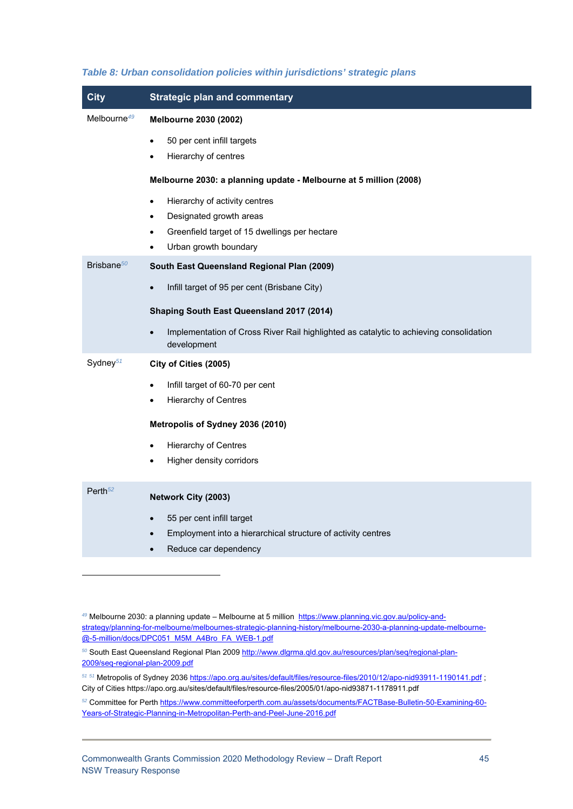| <b>City</b>             | <b>Strategic plan and commentary</b>                                                                               |
|-------------------------|--------------------------------------------------------------------------------------------------------------------|
| Melbourne <sup>49</sup> | Melbourne 2030 (2002)                                                                                              |
|                         | 50 per cent infill targets<br>$\bullet$                                                                            |
|                         | Hierarchy of centres                                                                                               |
|                         | Melbourne 2030: a planning update - Melbourne at 5 million (2008)                                                  |
|                         | Hierarchy of activity centres<br>$\bullet$                                                                         |
|                         | Designated growth areas<br>$\bullet$                                                                               |
|                         | Greenfield target of 15 dwellings per hectare                                                                      |
|                         | Urban growth boundary<br>$\bullet$                                                                                 |
| Brisbane $50$           | South East Queensland Regional Plan (2009)                                                                         |
|                         | Infill target of 95 per cent (Brisbane City)<br>$\bullet$                                                          |
|                         | Shaping South East Queensland 2017 (2014)                                                                          |
|                         | Implementation of Cross River Rail highlighted as catalytic to achieving consolidation<br>$\bullet$<br>development |
| Sydney <sup>51</sup>    | City of Cities (2005)                                                                                              |
|                         | Infill target of 60-70 per cent<br>$\bullet$                                                                       |
|                         | <b>Hierarchy of Centres</b>                                                                                        |
|                         | Metropolis of Sydney 2036 (2010)                                                                                   |
|                         | <b>Hierarchy of Centres</b><br>$\bullet$                                                                           |
|                         | Higher density corridors<br>$\bullet$                                                                              |
|                         |                                                                                                                    |
| Perth $52$              | Network City (2003)                                                                                                |
|                         | 55 per cent infill target<br>$\bullet$                                                                             |
|                         | Employment into a hierarchical structure of activity centres                                                       |
|                         | Reduce car dependency                                                                                              |

#### *Table 8: Urban consolidation policies within jurisdictions' strategic plans*

<sup>49</sup> Melbourne 2030: a planning update – Melbourne at 5 million https://www.planning.vic.gov.au/policy-andstrategy/planning-for-melbourne/melbournes-strategic-planning-history/melbourne-2030-a-planning-update-melbourne- @-5-million/docs/DPC051\_M5M\_A4Bro\_FA\_WEB-1.pdf

*50* South East Queensland Regional Plan 2009 http://www.dlgrma.qld.gov.au/resources/plan/seq/regional-plan-2009/seq-regional-plan-2009.pdf

*<sup>51</sup> <sup>51</sup>* Metropolis of Sydney 2036 https://apo.org.au/sites/default/files/resource-files/2010/12/apo-nid93911-1190141.pdf ; City of Cities https://apo.org.au/sites/default/files/resource-files/2005/01/apo-nid93871-1178911.pdf

*<sup>52</sup>* Committee for Perth https://www.committeeforperth.com.au/assets/documents/FACTBase-Bulletin-50-Examining-60- Years-of-Strategic-Planning-in-Metropolitan-Perth-and-Peel-June-2016.pdf

-